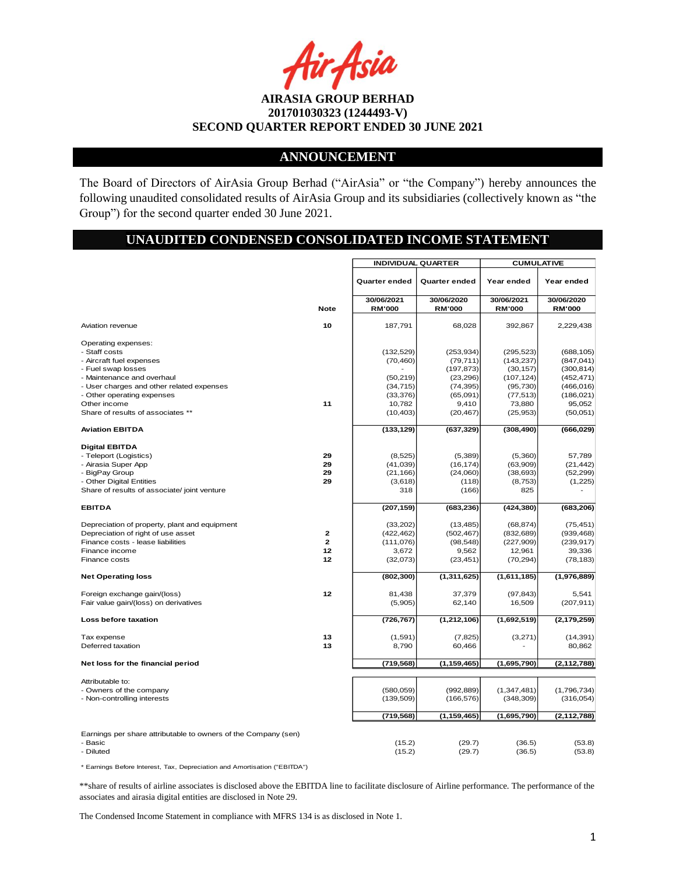:Asia

## **ANNOUNCEMENT**

The Board of Directors of AirAsia Group Berhad ("AirAsia" or "the Company") hereby announces the following unaudited consolidated results of AirAsia Group and its subsidiaries (collectively known as "the Group") for the second quarter ended 30 June 2021.

# **UNAUDITED CONDENSED CONSOLIDATED INCOME STATEMENT**

|                                                                |              | <b>INDIVIDUAL QUARTER</b> |                       | <b>CUMULATIVE</b> |                          |  |
|----------------------------------------------------------------|--------------|---------------------------|-----------------------|-------------------|--------------------------|--|
|                                                                |              | Quarter ended             | <b>Quarter ended</b>  | Year ended        | Year ended               |  |
|                                                                |              | 30/06/2021                | 30/06/2020            | 30/06/2021        | 30/06/2020               |  |
|                                                                | <b>Note</b>  | <b>RM'000</b>             | <b>RM'000</b>         | <b>RM'000</b>     | <b>RM'000</b>            |  |
| Aviation revenue                                               | 10           | 187,791                   | 68,028                | 392,867           | 2,229,438                |  |
| Operating expenses:                                            |              |                           |                       |                   |                          |  |
| - Staff costs                                                  |              | (132, 529)                | (253, 934)            | (295, 523)        | (688, 105)               |  |
| - Aircraft fuel expenses                                       |              | (70, 460)                 | (79, 711)             | (143, 237)        | (847, 041)               |  |
| - Fuel swap losses                                             |              |                           | (197, 873)            | (30, 157)         | (300, 814)               |  |
| - Maintenance and overhaul                                     |              | (50, 219)                 | (23, 296)             | (107, 124)        | (452, 471)               |  |
| - User charges and other related expenses                      |              | (34, 715)<br>(33, 376)    | (74, 395)<br>(65,091) | (95, 730)         | (466, 016)<br>(186, 021) |  |
| - Other operating expenses<br>Other income                     | 11           |                           |                       | (77, 513)         | 95,052                   |  |
| Share of results of associates **                              |              | 10,782<br>(10, 403)       | 9,410<br>(20, 467)    | 73,880            | (50,051)                 |  |
|                                                                |              |                           |                       | (25, 953)         |                          |  |
| <b>Aviation EBITDA</b>                                         |              | (133, 129)                | (637, 329)            | (308, 490)        | (666, 029)               |  |
| <b>Digital EBITDA</b>                                          |              |                           |                       |                   |                          |  |
| - Teleport (Logistics)                                         | 29           | (8, 525)                  | (5,389)               | (5,360)           | 57,789                   |  |
| - Airasia Super App                                            | 29           | (41, 039)                 | (16, 174)             | (63,909)          | (21, 442)                |  |
| - BigPay Group                                                 | 29           | (21, 166)                 | (24,060)              | (38, 693)         | (52, 299)                |  |
| - Other Digital Entities                                       | 29           | (3,618)                   | (118)                 | (8,753)           | (1,225)                  |  |
| Share of results of associate/ joint venture                   |              | 318                       | (166)                 | 825               |                          |  |
| <b>EBITDA</b>                                                  |              | (207, 159)                | (683, 236)            | (424, 380)        | (683, 206)               |  |
| Depreciation of property, plant and equipment                  |              | (33,202)                  | (13, 485)             | (68, 874)         | (75, 451)                |  |
| Depreciation of right of use asset                             | $\mathbf{z}$ | (422, 462)                | (502, 467)            | (832, 689)        | (939, 468)               |  |
| Finance costs - lease liabilities                              | $\mathbf{2}$ | (111, 076)                | (98, 548)             | (227, 909)        | (239, 917)               |  |
| Finance income                                                 | 12           | 3,672                     | 9,562                 | 12,961            | 39,336                   |  |
| <b>Finance costs</b>                                           | 12           | (32,073)                  | (23, 451)             | (70, 294)         | (78, 183)                |  |
| <b>Net Operating loss</b>                                      |              | (802, 300)                | (1, 311, 625)         | (1,611,185)       | (1,976,889)              |  |
| Foreign exchange gain/(loss)                                   | 12           | 81,438                    | 37,379                | (97, 843)         | 5,541                    |  |
| Fair value gain/(loss) on derivatives                          |              | (5,905)                   | 62,140                | 16,509            | (207, 911)               |  |
|                                                                |              |                           |                       |                   |                          |  |
| Loss before taxation                                           |              | (726, 767)                | (1,212,106)           | (1,692,519)       | (2, 179, 259)            |  |
| Tax expense                                                    | 13           | (1,591)                   | (7, 825)              | (3,271)           | (14, 391)                |  |
| Deferred taxation                                              | 13           | 8,790                     | 60,466                |                   | 80,862                   |  |
| Net loss for the financial period                              |              | (719, 568)                | (1, 159, 465)         | (1,695,790)       | (2, 112, 788)            |  |
|                                                                |              |                           |                       |                   |                          |  |
| Attributable to:                                               |              |                           |                       |                   |                          |  |
| - Owners of the company                                        |              | (580, 059)                | (992, 889)            | (1, 347, 481)     | (1,796,734)              |  |
| - Non-controlling interests                                    |              | (139, 509)                | (166, 576)            | (348, 309)        | (316, 054)               |  |
|                                                                |              | (719, 568)                | (1, 159, 465)         | (1,695,790)       | (2, 112, 788)            |  |
|                                                                |              |                           |                       |                   |                          |  |
| Earnings per share attributable to owners of the Company (sen) |              |                           |                       |                   |                          |  |
| - Basic                                                        |              | (15.2)                    | (29.7)                | (36.5)            | (53.8)                   |  |
| - Diluted                                                      |              | (15.2)                    | (29.7)                | (36.5)            | (53.8)                   |  |

\* Earnings Before Interest, Tax, Depreciation and Amortisation ("EBITDA")

\*\*share of results of airline associates is disclosed above the EBITDA line to facilitate disclosure of Airline performance. The performance of the associates and airasia digital entities are disclosed in Note 29.

The Condensed Income Statement in compliance with MFRS 134 is as disclosed in Note 1.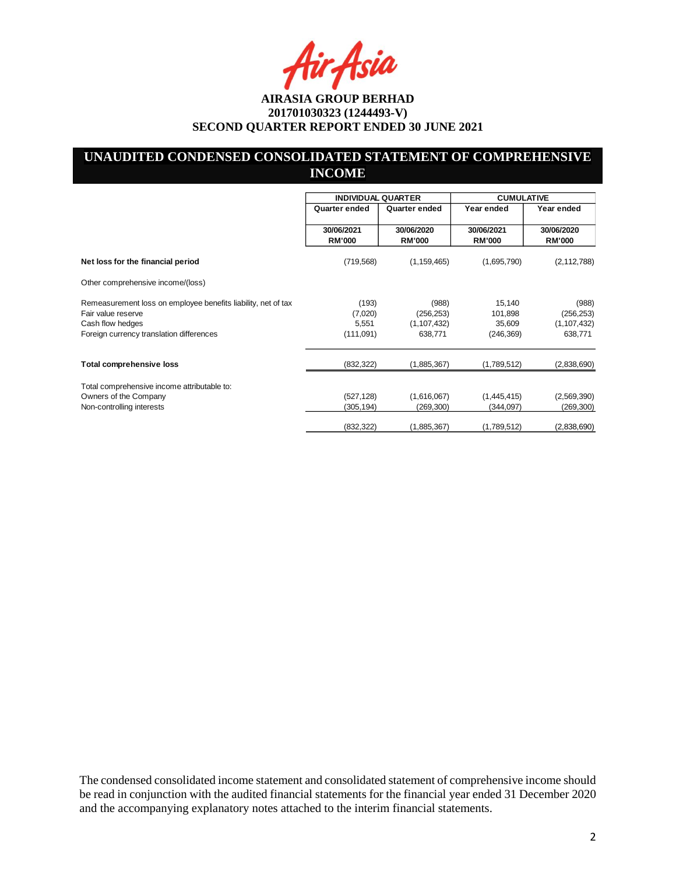Asia

## **UNAUDITED CONDENSED CONSOLIDATED STATEMENT OF COMPREHENSIVE INCOME**

|                                                                                                                                                     | <b>INDIVIDUAL QUARTER</b>              |                                                 | <b>CUMULATIVE</b>                         |                                                 |
|-----------------------------------------------------------------------------------------------------------------------------------------------------|----------------------------------------|-------------------------------------------------|-------------------------------------------|-------------------------------------------------|
|                                                                                                                                                     | Quarter ended                          | Quarter ended                                   | Year ended                                | Year ended                                      |
|                                                                                                                                                     | 30/06/2021<br><b>RM'000</b>            | 30/06/2020<br><b>RM'000</b>                     | 30/06/2021<br><b>RM'000</b>               | 30/06/2020<br><b>RM'000</b>                     |
| Net loss for the financial period                                                                                                                   | (719, 568)                             | (1, 159, 465)                                   | (1,695,790)                               | (2, 112, 788)                                   |
| Other comprehensive income/(loss)                                                                                                                   |                                        |                                                 |                                           |                                                 |
| Remeasurement loss on employee benefits liability, net of tax<br>Fair value reserve<br>Cash flow hedges<br>Foreign currency translation differences | (193)<br>(7,020)<br>5,551<br>(111,091) | (988)<br>(256, 253)<br>(1, 107, 432)<br>638,771 | 15,140<br>101,898<br>35,609<br>(246, 369) | (988)<br>(256, 253)<br>(1, 107, 432)<br>638,771 |
| <b>Total comprehensive loss</b>                                                                                                                     | (832, 322)                             | (1,885,367)                                     | (1,789,512)                               | (2,838,690)                                     |
| Total comprehensive income attributable to:<br>Owners of the Company<br>Non-controlling interests                                                   | (527, 128)<br>(305, 194)               | (1,616,067)<br>(269,300)                        | (1,445,415)<br>(344, 097)                 | (2,569,390)<br>(269, 300)                       |
|                                                                                                                                                     | (832, 322)                             | (1,885,367)                                     | (1,789,512)                               | (2,838,690)                                     |

The condensed consolidated income statement and consolidated statement of comprehensive income should be read in conjunction with the audited financial statements for the financial year ended 31 December 2020 and the accompanying explanatory notes attached to the interim financial statements.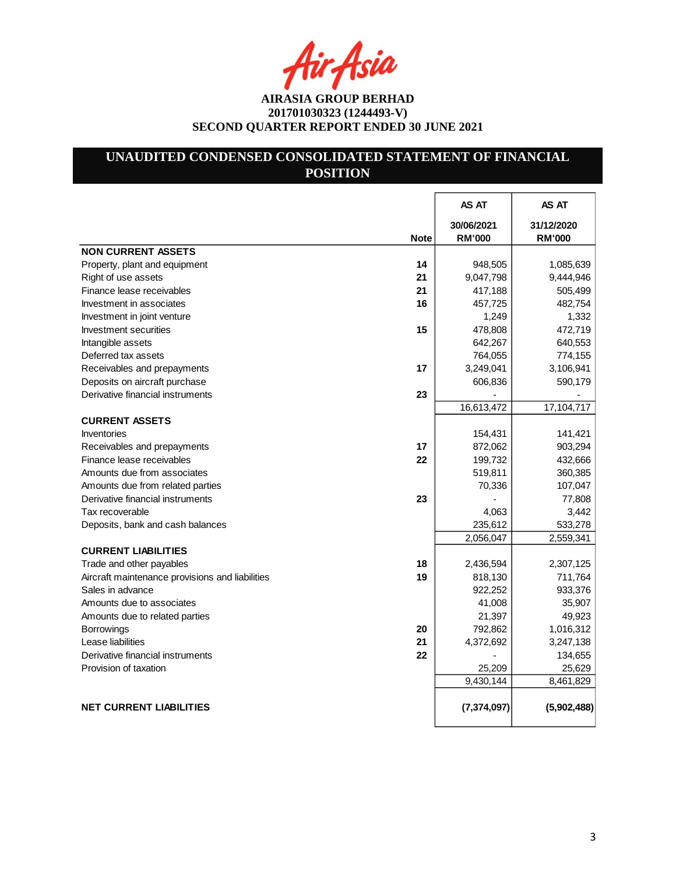fir Asia

# **UNAUDITED CONDENSED CONSOLIDATED STATEMENT OF FINANCIAL POSITION**

|                                                 |             | AS AT                       | AS AT                       |
|-------------------------------------------------|-------------|-----------------------------|-----------------------------|
|                                                 | <b>Note</b> | 30/06/2021<br><b>RM'000</b> | 31/12/2020<br><b>RM'000</b> |
| <b>NON CURRENT ASSETS</b>                       |             |                             |                             |
| Property, plant and equipment                   | 14          | 948,505                     | 1,085,639                   |
| Right of use assets                             | 21          | 9,047,798                   | 9,444,946                   |
| Finance lease receivables                       | 21          | 417,188                     | 505,499                     |
| Investment in associates                        | 16          | 457,725                     | 482,754                     |
| Investment in joint venture                     |             | 1,249                       | 1,332                       |
| Investment securities                           | 15          | 478,808                     | 472,719                     |
| Intangible assets                               |             | 642,267                     | 640,553                     |
| Deferred tax assets                             |             | 764,055                     | 774,155                     |
| Receivables and prepayments                     | 17          | 3,249,041                   | 3,106,941                   |
| Deposits on aircraft purchase                   |             | 606,836                     | 590,179                     |
| Derivative financial instruments                | 23          |                             |                             |
|                                                 |             | 16,613,472                  | 17,104,717                  |
| <b>CURRENT ASSETS</b>                           |             |                             |                             |
| <b>Inventories</b>                              |             | 154,431                     | 141,421                     |
| Receivables and prepayments                     | 17          | 872,062                     | 903,294                     |
| Finance lease receivables                       | 22          | 199,732                     | 432,666                     |
| Amounts due from associates                     |             | 519,811                     | 360,385                     |
| Amounts due from related parties                |             | 70,336                      | 107,047                     |
| Derivative financial instruments                | 23          |                             | 77,808                      |
| Tax recoverable                                 |             | 4,063                       | 3,442                       |
| Deposits, bank and cash balances                |             | 235,612                     | 533,278                     |
|                                                 |             | 2,056,047                   | 2,559,341                   |
| <b>CURRENT LIABILITIES</b>                      |             |                             |                             |
| Trade and other payables                        | 18          | 2,436,594                   | 2,307,125                   |
| Aircraft maintenance provisions and liabilities | 19          | 818,130                     | 711,764                     |
| Sales in advance                                |             | 922,252                     | 933,376                     |
| Amounts due to associates                       |             | 41,008                      | 35,907                      |
| Amounts due to related parties                  |             | 21,397                      | 49,923                      |
| <b>Borrowings</b>                               | 20          | 792,862                     | 1,016,312                   |
| Lease liabilities                               | 21          | 4,372,692                   | 3,247,138                   |
| Derivative financial instruments                | 22          |                             | 134,655                     |
| Provision of taxation                           |             | 25,209                      | 25,629                      |
|                                                 |             | 9,430,144                   | 8,461,829                   |
| <b>NET CURRENT LIABILITIES</b>                  |             | (7, 374, 097)               | (5,902,488)                 |
|                                                 |             |                             |                             |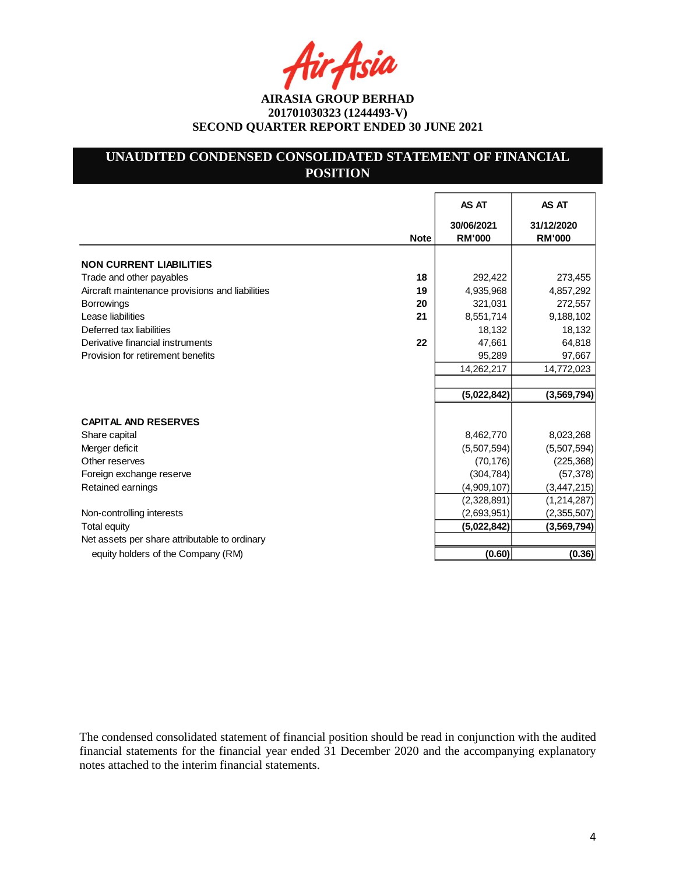Asia

# **UNAUDITED CONDENSED CONSOLIDATED STATEMENT OF FINANCIAL POSITION**

|                                                       | AS AT                       | AS AT                       |
|-------------------------------------------------------|-----------------------------|-----------------------------|
| <b>Note</b>                                           | 30/06/2021<br><b>RM'000</b> | 31/12/2020<br><b>RM'000</b> |
| <b>NON CURRENT LIABILITIES</b>                        |                             |                             |
| 18<br>Trade and other payables                        | 292,422                     | 273,455                     |
| Aircraft maintenance provisions and liabilities<br>19 | 4,935,968                   | 4,857,292                   |
| 20<br><b>Borrowings</b>                               | 321,031                     | 272,557                     |
| Lease liabilities<br>21                               | 8,551,714                   | 9,188,102                   |
| Deferred tax liabilities                              | 18,132                      | 18,132                      |
| 22<br>Derivative financial instruments                | 47,661                      | 64,818                      |
| Provision for retirement benefits                     | 95,289                      | 97,667                      |
|                                                       | 14,262,217                  | 14,772,023                  |
|                                                       |                             |                             |
|                                                       | (5,022,842)                 | (3, 569, 794)               |
| <b>CAPITAL AND RESERVES</b>                           |                             |                             |
| Share capital                                         | 8,462,770                   | 8,023,268                   |
| Merger deficit                                        | (5,507,594)                 | (5,507,594)                 |
| Other reserves                                        | (70, 176)                   | (225, 368)                  |
| Foreign exchange reserve                              | (304, 784)                  | (57, 378)                   |
| Retained earnings                                     | (4,909,107)                 | (3, 447, 215)               |
|                                                       | (2,328,891)                 | (1, 214, 287)               |
| Non-controlling interests                             | (2,693,951)                 | (2,355,507)                 |
| <b>Total equity</b>                                   | (5,022,842)                 | (3,569,794)                 |
| Net assets per share attributable to ordinary         |                             |                             |
| equity holders of the Company (RM)                    | (0.60)                      | (0.36)                      |

The condensed consolidated statement of financial position should be read in conjunction with the audited financial statements for the financial year ended 31 December 2020 and the accompanying explanatory notes attached to the interim financial statements.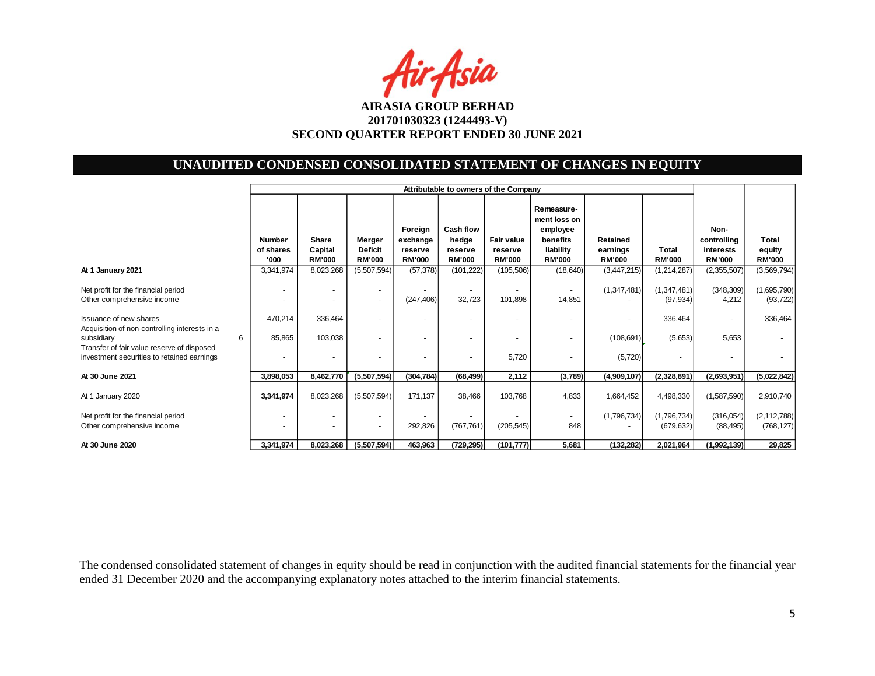Air Asia

# **UNAUDITED CONDENSED CONSOLIDATED STATEMENT OF CHANGES IN EQUITY**

|                                                                                                                |                                    | Attributable to owners of the Company    |                                           |                                                 |                                                |                                               |                                                                                  |                                       |                               |                                                   |                                  |
|----------------------------------------------------------------------------------------------------------------|------------------------------------|------------------------------------------|-------------------------------------------|-------------------------------------------------|------------------------------------------------|-----------------------------------------------|----------------------------------------------------------------------------------|---------------------------------------|-------------------------------|---------------------------------------------------|----------------------------------|
|                                                                                                                | <b>Number</b><br>of shares<br>'000 | <b>Share</b><br>Capital<br><b>RM'000</b> | Merger<br><b>Deficit</b><br><b>RM'000</b> | Foreign<br>exchange<br>reserve<br><b>RM'000</b> | Cash flow<br>hedge<br>reserve<br><b>RM'000</b> | <b>Fair value</b><br>reserve<br><b>RM'000</b> | Remeasure-<br>ment loss on<br>employee<br>benefits<br>liability<br><b>RM'000</b> | Retained<br>earnings<br><b>RM'000</b> | <b>Total</b><br><b>RM'000</b> | Non-<br>controlling<br>interests<br><b>RM'000</b> | Total<br>equity<br><b>RM'000</b> |
| At 1 January 2021                                                                                              | 3,341,974                          | 8,023,268                                | (5,507,594)                               | (57, 378)                                       | (101, 222)                                     | (105, 506)                                    | (18, 640)                                                                        | (3,447,215)                           | (1, 214, 287)                 | (2,355,507)                                       | (3, 569, 794)                    |
| Net profit for the financial period<br>Other comprehensive income                                              |                                    |                                          | $\sim$                                    | (247, 406)                                      | 32,723                                         | 101,898                                       | 14,851                                                                           | (1,347,481)                           | (1,347,481)<br>(97, 934)      | (348, 309)<br>4,212                               | (1,695,790)<br>(93, 722)         |
| <b>Issuance of new shares</b>                                                                                  | 470,214                            | 336,464                                  | ٠                                         |                                                 |                                                |                                               |                                                                                  | ٠                                     | 336,464                       |                                                   | 336,464                          |
| Acquisition of non-controlling interests in a<br>subsidiary<br>6<br>Transfer of fair value reserve of disposed | 85,865                             | 103,038                                  | ٠                                         |                                                 |                                                |                                               | $\overline{\phantom{a}}$                                                         | (108, 691)                            | (5,653)                       | 5,653                                             |                                  |
| investment securities to retained earnings                                                                     | ٠                                  | $\sim$                                   | $\overline{a}$                            |                                                 |                                                | 5,720                                         | $\overline{a}$                                                                   | (5, 720)                              |                               |                                                   |                                  |
| At 30 June 2021                                                                                                | 3,898,053                          | 8,462,770                                | (5,507,594)                               | (304, 784)                                      | (68, 499)                                      | 2,112                                         | (3,789)                                                                          | (4,909,107)                           | (2,328,891)                   | (2,693,951)                                       | (5,022,842)                      |
| At 1 January 2020                                                                                              | 3,341,974                          | 8,023,268                                | (5,507,594)                               | 171,137                                         | 38,466                                         | 103,768                                       | 4,833                                                                            | 1,664,452                             | 4,498,330                     | (1,587,590)                                       | 2,910,740                        |
| Net profit for the financial period<br>Other comprehensive income                                              | $\overline{\phantom{a}}$           |                                          | $\overline{a}$<br>$\sim$                  | 292,826                                         | (767, 761)                                     | (205, 545)                                    | 848                                                                              | (1,796,734)                           | (1,796,734)<br>(679, 632)     | (316, 054)<br>(88, 495)                           | (2, 112, 788)<br>(768, 127)      |
| At 30 June 2020                                                                                                | 3,341,974                          | 8,023,268                                | (5,507,594)                               | 463,963                                         | (729, 295)                                     | (101, 777)                                    | 5,681                                                                            | (132, 282)                            | 2,021,964                     | (1,992,139)                                       | 29,825                           |

The condensed consolidated statement of changes in equity should be read in conjunction with the audited financial statements for the financial year ended 31 December 2020 and the accompanying explanatory notes attached to the interim financial statements.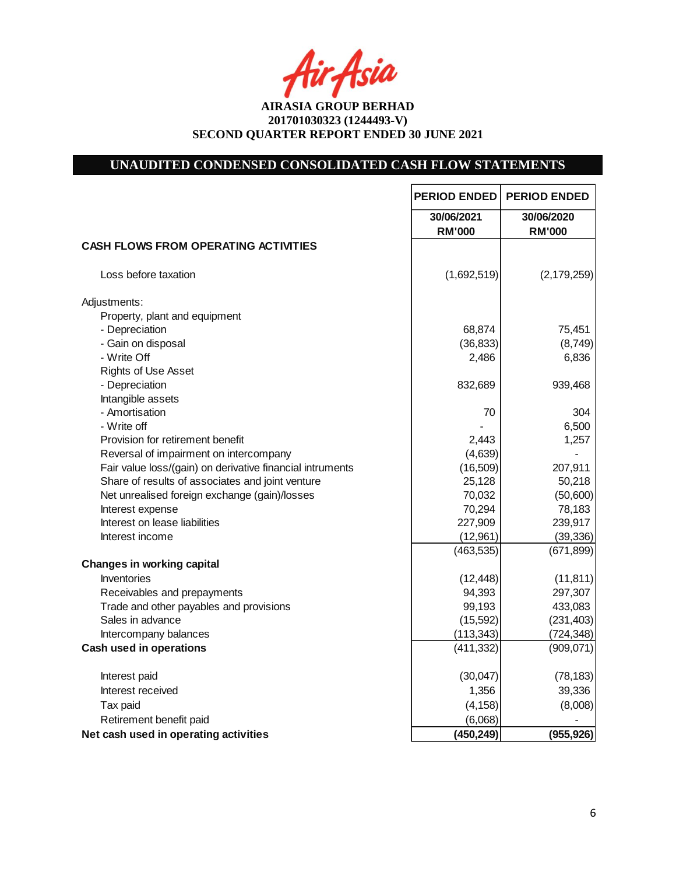fir Asia

# **UNAUDITED CONDENSED CONSOLIDATED CASH FLOW STATEMENTS**

|                                                           | <b>PERIOD ENDED</b>         | <b>PERIOD ENDED</b>         |
|-----------------------------------------------------------|-----------------------------|-----------------------------|
|                                                           | 30/06/2021<br><b>RM'000</b> | 30/06/2020<br><b>RM'000</b> |
| <b>CASH FLOWS FROM OPERATING ACTIVITIES</b>               |                             |                             |
| Loss before taxation                                      | (1,692,519)                 | (2, 179, 259)               |
| Adjustments:                                              |                             |                             |
| Property, plant and equipment                             |                             |                             |
| - Depreciation                                            | 68,874                      | 75,451                      |
| - Gain on disposal                                        | (36, 833)                   | (8,749)                     |
| - Write Off                                               | 2,486                       | 6,836                       |
| <b>Rights of Use Asset</b>                                |                             |                             |
| - Depreciation                                            | 832,689                     | 939,468                     |
| Intangible assets                                         |                             |                             |
| - Amortisation                                            | 70                          | 304                         |
| - Write off                                               |                             | 6,500                       |
| Provision for retirement benefit                          | 2,443                       | 1,257                       |
| Reversal of impairment on intercompany                    | (4,639)                     |                             |
| Fair value loss/(gain) on derivative financial intruments | (16, 509)                   | 207,911                     |
| Share of results of associates and joint venture          | 25,128                      | 50,218                      |
| Net unrealised foreign exchange (gain)/losses             | 70,032                      | (50,600)                    |
| Interest expense                                          | 70,294                      | 78,183                      |
| Interest on lease liabilities                             | 227,909                     | 239,917                     |
| Interest income                                           | (12,961)                    | (39, 336)                   |
|                                                           | (463, 535)                  | (671, 899)                  |
| <b>Changes in working capital</b>                         |                             |                             |
| Inventories                                               | (12, 448)                   | (11, 811)                   |
| Receivables and prepayments                               | 94,393                      | 297,307                     |
| Trade and other payables and provisions                   | 99,193                      | 433,083                     |
| Sales in advance                                          | (15, 592)                   | (231, 403)                  |
| Intercompany balances                                     | (113, 343)                  | (724, 348)                  |
| <b>Cash used in operations</b>                            | (411, 332)                  | (909, 071)                  |
| Interest paid                                             | (30,047)                    | (78, 183)                   |
| Interest received                                         | 1,356                       | 39,336                      |
| Tax paid                                                  | (4, 158)                    | (8,008)                     |
| Retirement benefit paid                                   | (6,068)                     |                             |
| Net cash used in operating activities                     | (450, 249)                  | (955, 926)                  |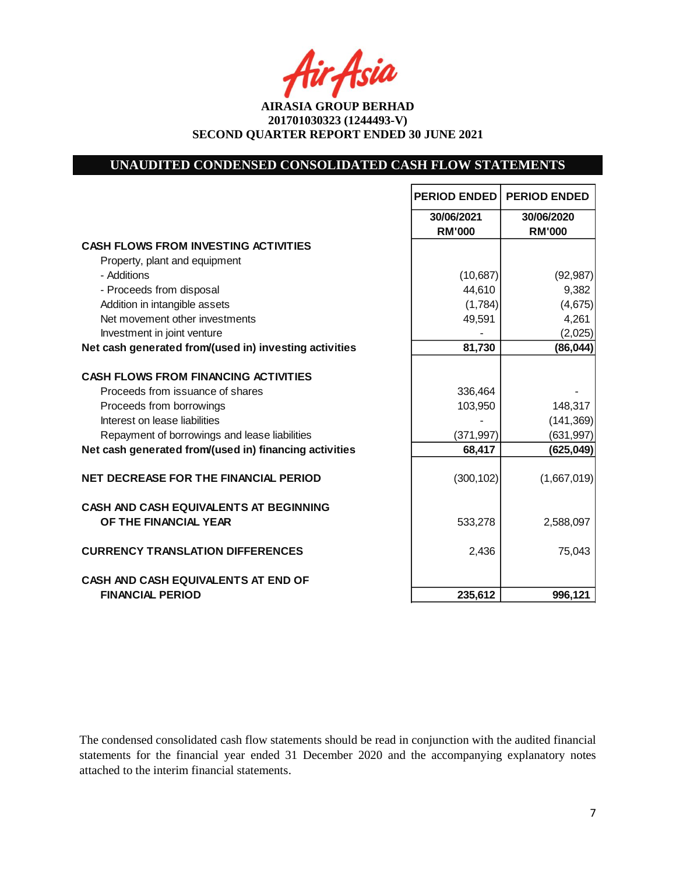Asia

**AIRASIA GROUP BERHAD 201701030323 (1244493-V) SECOND QUARTER REPORT ENDED 30 JUNE 2021**

## **UNAUDITED CONDENSED CONSOLIDATED CASH FLOW STATEMENTS**

|                                                                        | <b>PERIOD ENDED</b> | <b>PERIOD ENDED</b> |
|------------------------------------------------------------------------|---------------------|---------------------|
|                                                                        | 30/06/2021          | 30/06/2020          |
|                                                                        | <b>RM'000</b>       | <b>RM'000</b>       |
| <b>CASH FLOWS FROM INVESTING ACTIVITIES</b>                            |                     |                     |
| Property, plant and equipment                                          |                     |                     |
| - Additions                                                            | (10,687)            | (92, 987)           |
| - Proceeds from disposal                                               | 44,610              | 9,382               |
| Addition in intangible assets                                          | (1,784)             | (4,675)             |
| Net movement other investments                                         | 49,591              | 4,261               |
| Investment in joint venture                                            |                     | (2,025)             |
| Net cash generated from/(used in) investing activities                 | 81,730              | (86, 044)           |
|                                                                        |                     |                     |
| <b>CASH FLOWS FROM FINANCING ACTIVITIES</b>                            |                     |                     |
| Proceeds from issuance of shares                                       | 336,464             |                     |
| Proceeds from borrowings                                               | 103,950             | 148,317             |
| Interest on lease liabilities                                          |                     | (141, 369)          |
| Repayment of borrowings and lease liabilities                          | (371, 997)          | (631, 997)          |
| Net cash generated from/(used in) financing activities                 | 68,417              | (625, 049)          |
| <b>NET DECREASE FOR THE FINANCIAL PERIOD</b>                           | (300, 102)          | (1,667,019)         |
| <b>CASH AND CASH EQUIVALENTS AT BEGINNING</b><br>OF THE FINANCIAL YEAR | 533,278             | 2,588,097           |
| <b>CURRENCY TRANSLATION DIFFERENCES</b>                                | 2,436               | 75,043              |
| <b>CASH AND CASH EQUIVALENTS AT END OF</b>                             |                     |                     |
| <b>FINANCIAL PERIOD</b>                                                | 235,612             | 996,121             |

The condensed consolidated cash flow statements should be read in conjunction with the audited financial statements for the financial year ended 31 December 2020 and the accompanying explanatory notes attached to the interim financial statements.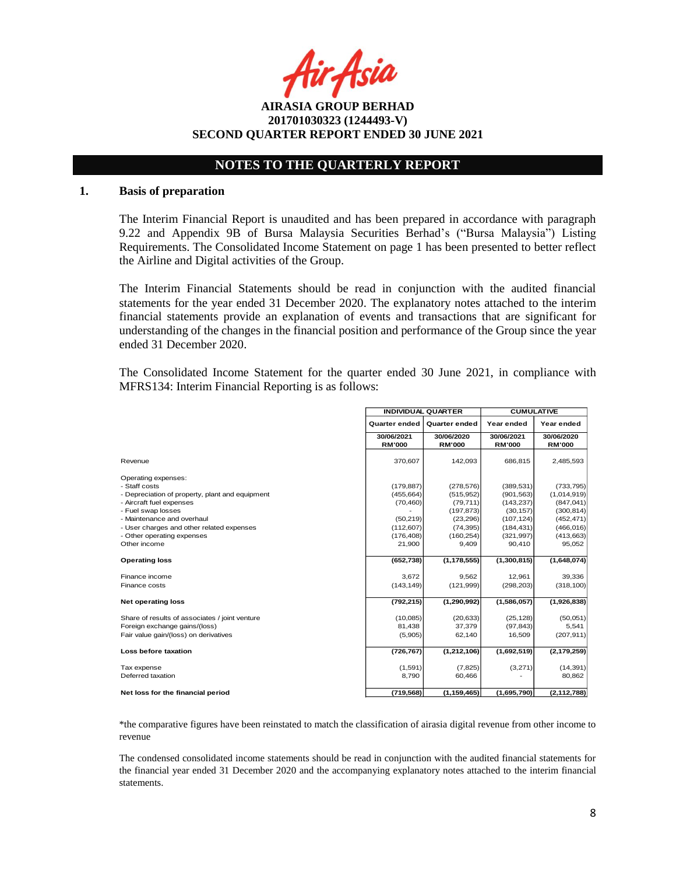r Asia

**AIRASIA GROUP BERHAD 201701030323 (1244493-V) SECOND QUARTER REPORT ENDED 30 JUNE 2021**

## **NOTES TO THE QUARTERLY REPORT**

#### **1. Basis of preparation**

The Interim Financial Report is unaudited and has been prepared in accordance with paragraph 9.22 and Appendix 9B of Bursa Malaysia Securities Berhad's ("Bursa Malaysia") Listing Requirements. The Consolidated Income Statement on page 1 has been presented to better reflect the Airline and Digital activities of the Group.

The Interim Financial Statements should be read in conjunction with the audited financial statements for the year ended 31 December 2020. The explanatory notes attached to the interim financial statements provide an explanation of events and transactions that are significant for understanding of the changes in the financial position and performance of the Group since the year ended 31 December 2020.

The Consolidated Income Statement for the quarter ended 30 June 2021, in compliance with MFRS134: Interim Financial Reporting is as follows:

|                                                 | <b>INDIVIDUAL QUARTER</b> |                      | <b>CUMULATIVE</b> |               |  |
|-------------------------------------------------|---------------------------|----------------------|-------------------|---------------|--|
|                                                 | <b>Quarter ended</b>      | <b>Quarter ended</b> | Year ended        | Year ended    |  |
|                                                 | 30/06/2021                | 30/06/2020           | 30/06/2021        | 30/06/2020    |  |
|                                                 | <b>RM'000</b>             | <b>RM'000</b>        | <b>RM'000</b>     | <b>RM'000</b> |  |
| Revenue                                         | 370,607                   | 142,093              | 686,815           | 2,485,593     |  |
| Operating expenses:                             |                           |                      |                   |               |  |
| - Staff costs                                   | (179, 887)                | (278, 576)           | (389, 531)        | (733, 795)    |  |
| - Depreciation of property, plant and equipment | (455, 664)                | (515, 952)           | (901, 563)        | (1,014,919)   |  |
| - Aircraft fuel expenses                        | (70, 460)                 | (79, 711)            | (143, 237)        | (847, 041)    |  |
| - Fuel swap losses                              |                           | (197, 873)           | (30, 157)         | (300, 814)    |  |
| - Maintenance and overhaul                      | (50, 219)                 | (23, 296)            | (107, 124)        | (452, 471)    |  |
| - User charges and other related expenses       | (112, 607)                | (74, 395)            | (184, 431)        | (466, 016)    |  |
| - Other operating expenses                      | (176, 408)                | (160, 254)           | (321, 997)        | (413, 663)    |  |
| Other income                                    | 21,900                    | 9,409                | 90,410            | 95,052        |  |
| <b>Operating loss</b>                           | (652, 738)                | (1, 178, 555)        | (1,300,815)       | (1,648,074)   |  |
| Finance income                                  | 3,672                     | 9,562                | 12,961            | 39,336        |  |
| Finance costs                                   | (143, 149)                | (121, 999)           | (298, 203)        | (318, 100)    |  |
| <b>Net operating loss</b>                       | (792, 215)                | (1, 290, 992)        | (1,586,057)       | (1,926,838)   |  |
| Share of results of associates / joint venture  | (10,085)                  | (20, 633)            | (25, 128)         | (50,051)      |  |
| Foreign exchange gains/(loss)                   | 81,438                    | 37,379               | (97, 843)         | 5,541         |  |
| Fair value gain/(loss) on derivatives           | (5,905)                   | 62,140               | 16,509            | (207, 911)    |  |
| Loss before taxation                            | (726, 767)                | (1,212,106)          | (1,692,519)       | (2, 179, 259) |  |
| Tax expense                                     | (1,591)                   | (7, 825)             | (3,271)           | (14, 391)     |  |
| Deferred taxation                               | 8,790                     | 60,466               |                   | 80,862        |  |
| Net loss for the financial period               | (719, 568)                | (1, 159, 465)        | (1,695,790)       | (2, 112, 788) |  |

\*the comparative figures have been reinstated to match the classification of airasia digital revenue from other income to revenue

The condensed consolidated income statements should be read in conjunction with the audited financial statements for the financial year ended 31 December 2020 and the accompanying explanatory notes attached to the interim financial statements.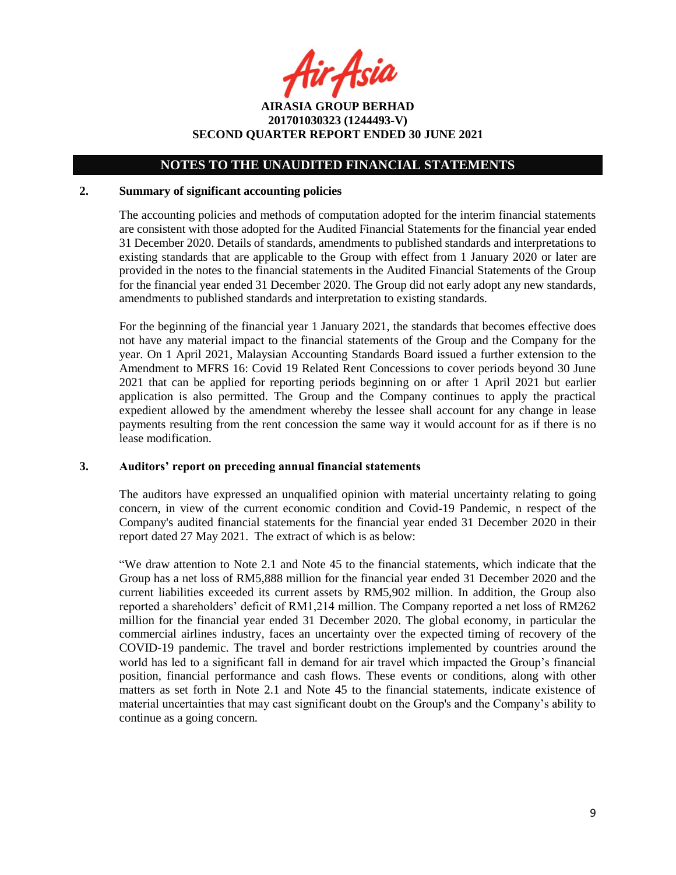ir Asia

**AIRASIA GROUP BERHAD 201701030323 (1244493-V) SECOND QUARTER REPORT ENDED 30 JUNE 2021**

#### **2. Summary of significant accounting policies**

The accounting policies and methods of computation adopted for the interim financial statements are consistent with those adopted for the Audited Financial Statements for the financial year ended 31 December 2020. Details of standards, amendments to published standards and interpretations to existing standards that are applicable to the Group with effect from 1 January 2020 or later are provided in the notes to the financial statements in the Audited Financial Statements of the Group for the financial year ended 31 December 2020. The Group did not early adopt any new standards, amendments to published standards and interpretation to existing standards.

For the beginning of the financial year 1 January 2021, the standards that becomes effective does not have any material impact to the financial statements of the Group and the Company for the year. On 1 April 2021, Malaysian Accounting Standards Board issued a further extension to the Amendment to MFRS 16: Covid 19 Related Rent Concessions to cover periods beyond 30 June 2021 that can be applied for reporting periods beginning on or after 1 April 2021 but earlier application is also permitted. The Group and the Company continues to apply the practical expedient allowed by the amendment whereby the lessee shall account for any change in lease payments resulting from the rent concession the same way it would account for as if there is no lease modification.

#### **3. Auditors' report on preceding annual financial statements**

The auditors have expressed an unqualified opinion with material uncertainty relating to going concern, in view of the current economic condition and Covid-19 Pandemic, n respect of the Company's audited financial statements for the financial year ended 31 December 2020 in their report dated 27 May 2021. The extract of which is as below:

"We draw attention to Note 2.1 and Note 45 to the financial statements, which indicate that the Group has a net loss of RM5,888 million for the financial year ended 31 December 2020 and the current liabilities exceeded its current assets by RM5,902 million. In addition, the Group also reported a shareholders' deficit of RM1,214 million. The Company reported a net loss of RM262 million for the financial year ended 31 December 2020. The global economy, in particular the commercial airlines industry, faces an uncertainty over the expected timing of recovery of the COVID-19 pandemic. The travel and border restrictions implemented by countries around the world has led to a significant fall in demand for air travel which impacted the Group's financial position, financial performance and cash flows. These events or conditions, along with other matters as set forth in Note 2.1 and Note 45 to the financial statements, indicate existence of material uncertainties that may cast significant doubt on the Group's and the Company's ability to continue as a going concern.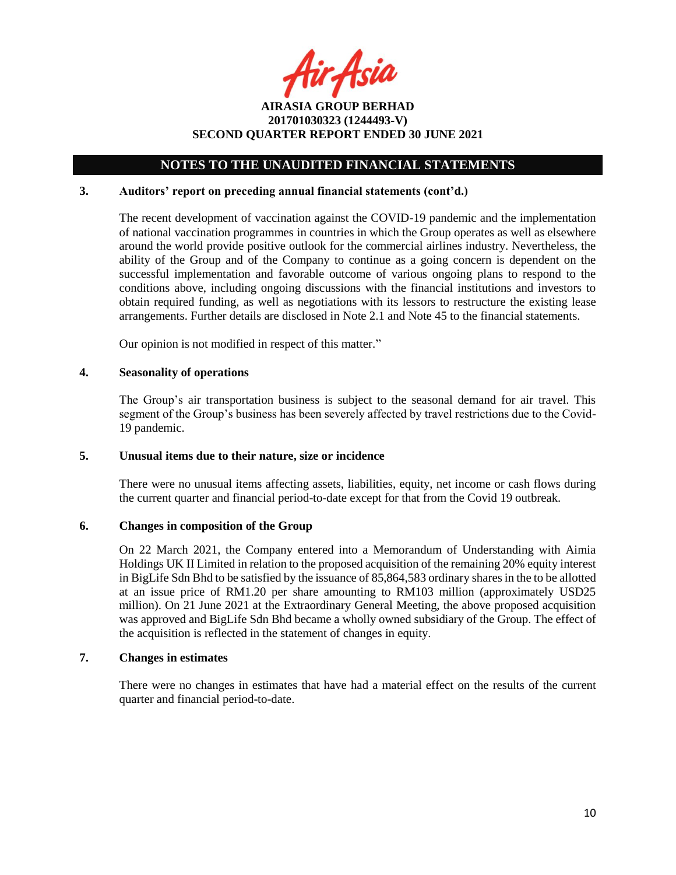tir Asia

**AIRASIA GROUP BERHAD 201701030323 (1244493-V) SECOND QUARTER REPORT ENDED 30 JUNE 2021**

### **3. Auditors' report on preceding annual financial statements (cont'd.)**

The recent development of vaccination against the COVID-19 pandemic and the implementation of national vaccination programmes in countries in which the Group operates as well as elsewhere around the world provide positive outlook for the commercial airlines industry. Nevertheless, the ability of the Group and of the Company to continue as a going concern is dependent on the successful implementation and favorable outcome of various ongoing plans to respond to the conditions above, including ongoing discussions with the financial institutions and investors to obtain required funding, as well as negotiations with its lessors to restructure the existing lease arrangements. Further details are disclosed in Note 2.1 and Note 45 to the financial statements.

Our opinion is not modified in respect of this matter."

### **4. Seasonality of operations**

The Group's air transportation business is subject to the seasonal demand for air travel. This segment of the Group's business has been severely affected by travel restrictions due to the Covid-19 pandemic.

### **5. Unusual items due to their nature, size or incidence**

There were no unusual items affecting assets, liabilities, equity, net income or cash flows during the current quarter and financial period-to-date except for that from the Covid 19 outbreak.

### **6. Changes in composition of the Group**

On 22 March 2021, the Company entered into a Memorandum of Understanding with Aimia Holdings UK II Limited in relation to the proposed acquisition of the remaining 20% equity interest in BigLife Sdn Bhd to be satisfied by the issuance of 85,864,583 ordinary shares in the to be allotted at an issue price of RM1.20 per share amounting to RM103 million (approximately USD25 million). On 21 June 2021 at the Extraordinary General Meeting, the above proposed acquisition was approved and BigLife Sdn Bhd became a wholly owned subsidiary of the Group. The effect of the acquisition is reflected in the statement of changes in equity.

#### **7. Changes in estimates**

There were no changes in estimates that have had a material effect on the results of the current quarter and financial period-to-date.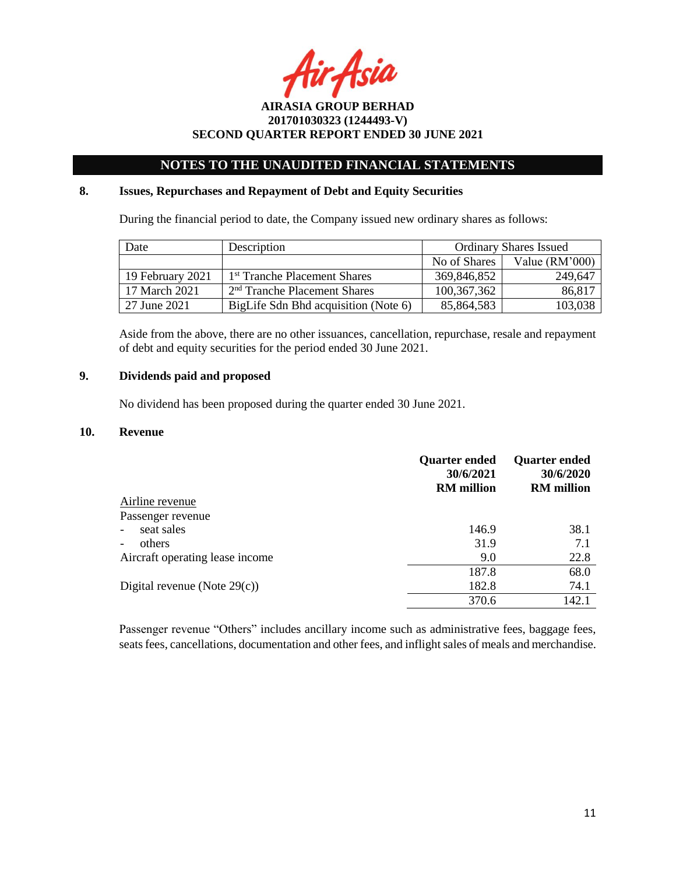Asia

## **NOTES TO THE UNAUDITED FINANCIAL STATEMENTS**

### **8. Issues, Repurchases and Repayment of Debt and Equity Securities**

During the financial period to date, the Company issued new ordinary shares as follows:

| Date             | Description                              | <b>Ordinary Shares Issued</b> |                  |
|------------------|------------------------------------------|-------------------------------|------------------|
|                  |                                          | No of Shares                  | Value $(RM'000)$ |
| 19 February 2021 | 1 <sup>st</sup> Tranche Placement Shares | 369,846,852                   | 249,647          |
| 17 March 2021    | 2 <sup>nd</sup> Tranche Placement Shares | 100, 367, 362                 | 86,817           |
| 27 June 2021     | BigLife Sdn Bhd acquisition (Note 6)     | 85,864,583                    | 103,038          |

Aside from the above, there are no other issuances, cancellation, repurchase, resale and repayment of debt and equity securities for the period ended 30 June 2021.

### **9. Dividends paid and proposed**

No dividend has been proposed during the quarter ended 30 June 2021.

#### **10. Revenue**

|                                 | <b>Quarter ended</b><br>30/6/2021<br><b>RM</b> million | <b>Quarter ended</b><br>30/6/2020<br><b>RM</b> million |
|---------------------------------|--------------------------------------------------------|--------------------------------------------------------|
| Airline revenue                 |                                                        |                                                        |
| Passenger revenue               |                                                        |                                                        |
| seat sales<br>$\blacksquare$    | 146.9                                                  | 38.1                                                   |
| others                          | 31.9                                                   | 7.1                                                    |
| Aircraft operating lease income | 9.0                                                    | 22.8                                                   |
|                                 | 187.8                                                  | 68.0                                                   |
| Digital revenue (Note $29(c)$ ) | 182.8                                                  | 74.1                                                   |
|                                 | 370.6                                                  | 142.1                                                  |

Passenger revenue "Others" includes ancillary income such as administrative fees, baggage fees, seats fees, cancellations, documentation and other fees, and inflight sales of meals and merchandise.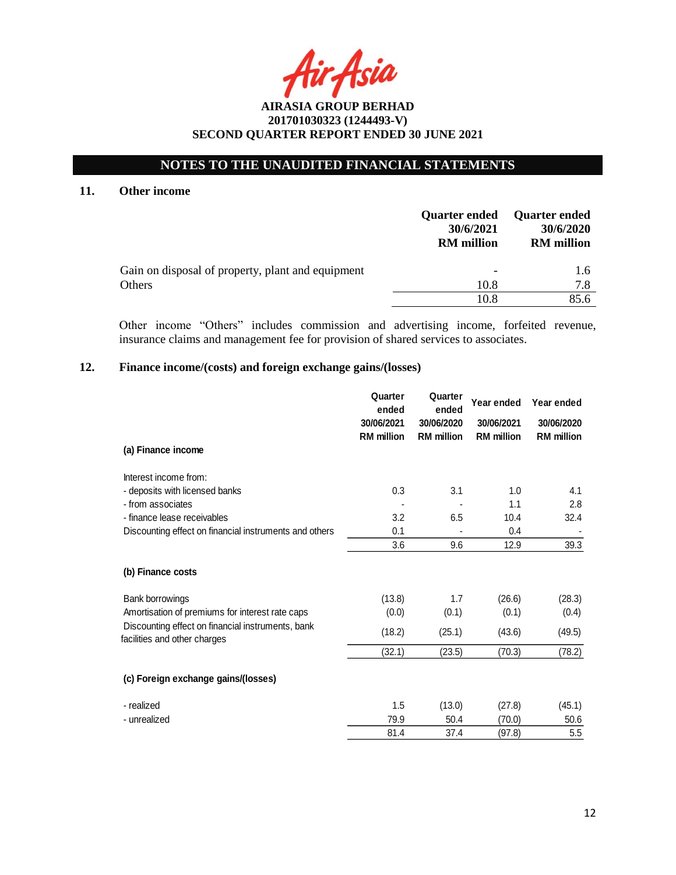# **NOTES TO THE UNAUDITED FINANCIAL STATEMENTS**

### **11. Other income**

|                                                   | <b>Quarter ended</b><br>30/6/2021<br><b>RM</b> million | <b>Quarter ended</b><br>30/6/2020<br><b>RM</b> million |
|---------------------------------------------------|--------------------------------------------------------|--------------------------------------------------------|
| Gain on disposal of property, plant and equipment |                                                        | $1.6^{\circ}$                                          |
| Others                                            | 10.8                                                   | 7.8                                                    |
|                                                   | 10.8                                                   | 85.6                                                   |

Other income "Others" includes commission and advertising income, forfeited revenue, insurance claims and management fee for provision of shared services to associates.

## **12. Finance income/(costs) and foreign exchange gains/(losses)**

|                                                                                   | Quarter<br>ended  | Quarter<br>ended  | Year ended        | Year ended        |
|-----------------------------------------------------------------------------------|-------------------|-------------------|-------------------|-------------------|
|                                                                                   | 30/06/2021        | 30/06/2020        | 30/06/2021        | 30/06/2020        |
|                                                                                   | <b>RM</b> million | <b>RM</b> million | <b>RM</b> million | <b>RM</b> million |
| (a) Finance income                                                                |                   |                   |                   |                   |
| Interest income from:                                                             |                   |                   |                   |                   |
| - deposits with licensed banks                                                    | 0.3               | 3.1               | 1.0               | 4.1               |
| - from associates                                                                 |                   |                   | 1.1               | 2.8               |
| - finance lease receivables                                                       | 3.2               | 6.5               | 10.4              | 32.4              |
| Discounting effect on financial instruments and others                            | 0.1               |                   | 0.4               |                   |
|                                                                                   | 3.6               | 9.6               | 12.9              | 39.3              |
| (b) Finance costs                                                                 |                   |                   |                   |                   |
| Bank borrowings                                                                   | (13.8)            | 1.7               | (26.6)            | (28.3)            |
| Amortisation of premiums for interest rate caps                                   | (0.0)             | (0.1)             | (0.1)             | (0.4)             |
| Discounting effect on financial instruments, bank<br>facilities and other charges | (18.2)            | (25.1)            | (43.6)            | (49.5)            |
|                                                                                   | (32.1)            | (23.5)            | (70.3)            | (78.2)            |
| (c) Foreign exchange gains/(losses)                                               |                   |                   |                   |                   |
| - realized                                                                        | 1.5               | (13.0)            | (27.8)            | (45.1)            |
| - unrealized                                                                      | 79.9              | 50.4              | (70.0)            | 50.6              |
|                                                                                   | 81.4              | 37.4              | (97.8)            | 5.5               |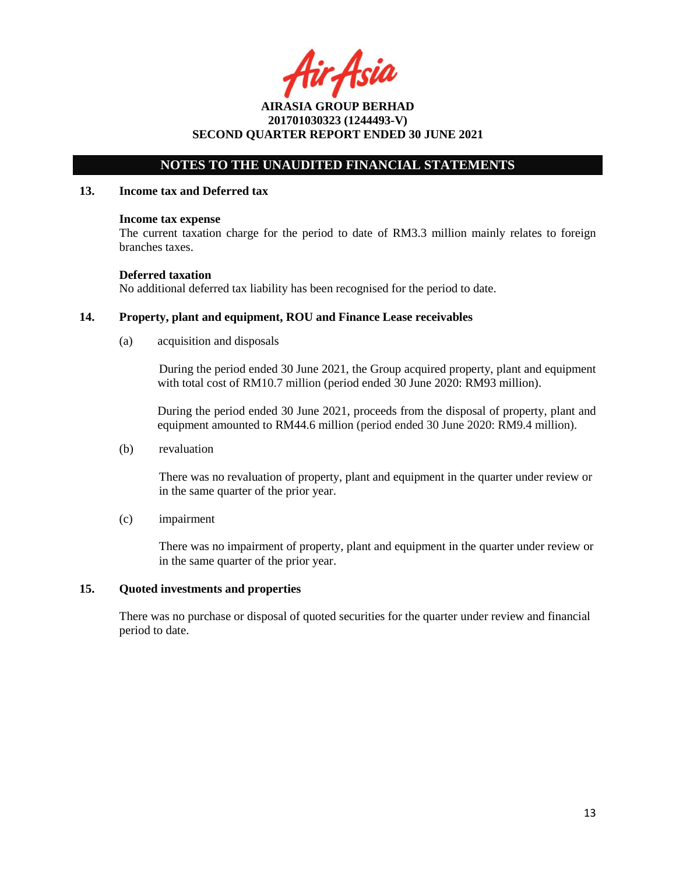tir Asia

## **NOTES TO THE UNAUDITED FINANCIAL STATEMENTS**

#### **13. Income tax and Deferred tax**

#### **Income tax expense**

The current taxation charge for the period to date of RM3.3 million mainly relates to foreign branches taxes.

#### **Deferred taxation**

No additional deferred tax liability has been recognised for the period to date.

### **14. Property, plant and equipment, ROU and Finance Lease receivables**

(a) acquisition and disposals

During the period ended 30 June 2021, the Group acquired property, plant and equipment with total cost of RM10.7 million (period ended 30 June 2020: RM93 million).

During the period ended 30 June 2021, proceeds from the disposal of property, plant and equipment amounted to RM44.6 million (period ended 30 June 2020: RM9.4 million).

(b) revaluation

There was no revaluation of property, plant and equipment in the quarter under review or in the same quarter of the prior year.

(c) impairment

There was no impairment of property, plant and equipment in the quarter under review or in the same quarter of the prior year.

### **15. Quoted investments and properties**

There was no purchase or disposal of quoted securities for the quarter under review and financial period to date.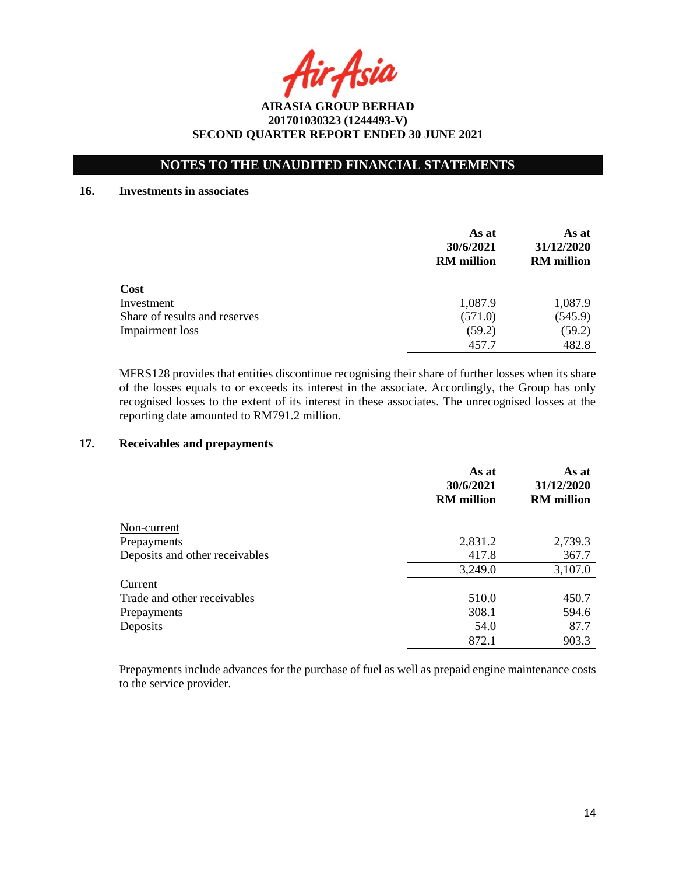Asia

## **NOTES TO THE UNAUDITED FINANCIAL STATEMENTS**

#### **16. Investments in associates**

|                               | As at<br>30/6/2021<br><b>RM</b> million | As at<br>31/12/2020<br><b>RM</b> million |
|-------------------------------|-----------------------------------------|------------------------------------------|
| Cost                          |                                         |                                          |
| Investment                    | 1,087.9                                 | 1,087.9                                  |
| Share of results and reserves | (571.0)                                 | (545.9)                                  |
| Impairment loss               | (59.2)                                  | (59.2)                                   |
|                               | 457.7                                   | 482.8                                    |

MFRS128 provides that entities discontinue recognising their share of further losses when its share of the losses equals to or exceeds its interest in the associate. Accordingly, the Group has only recognised losses to the extent of its interest in these associates. The unrecognised losses at the reporting date amounted to RM791.2 million.

### **17. Receivables and prepayments**

|                                | As at<br>30/6/2021<br><b>RM</b> million | As at<br>31/12/2020<br><b>RM</b> million |
|--------------------------------|-----------------------------------------|------------------------------------------|
| Non-current                    |                                         |                                          |
| Prepayments                    | 2,831.2                                 | 2,739.3                                  |
| Deposits and other receivables | 417.8                                   | 367.7                                    |
|                                | 3,249.0                                 | 3,107.0                                  |
| Current                        |                                         |                                          |
| Trade and other receivables    | 510.0                                   | 450.7                                    |
| Prepayments                    | 308.1                                   | 594.6                                    |
| Deposits                       | 54.0                                    | 87.7                                     |
|                                | 872.1                                   | 903.3                                    |

Prepayments include advances for the purchase of fuel as well as prepaid engine maintenance costs to the service provider.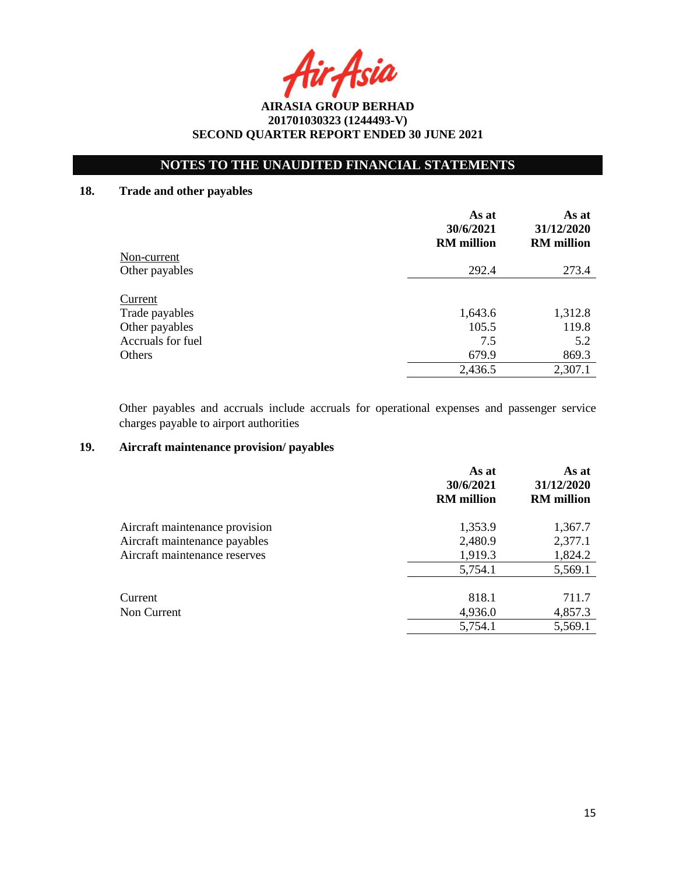Asia

# **NOTES TO THE UNAUDITED FINANCIAL STATEMENTS**

# **18. Trade and other payables**

|                   | As at<br>30/6/2021<br><b>RM</b> million | As at<br>31/12/2020<br><b>RM</b> million |
|-------------------|-----------------------------------------|------------------------------------------|
| Non-current       |                                         |                                          |
| Other payables    | 292.4                                   | 273.4                                    |
| Current           | 1,643.6                                 | 1,312.8                                  |
| Trade payables    | 105.5                                   | 119.8                                    |
| Other payables    |                                         |                                          |
| Accruals for fuel | 7.5                                     | 5.2                                      |
| Others            | 679.9                                   | 869.3                                    |
|                   | 2,436.5                                 | 2,307.1                                  |

Other payables and accruals include accruals for operational expenses and passenger service charges payable to airport authorities

## **19. Aircraft maintenance provision/ payables**

|                                | As at<br>30/6/2021<br><b>RM</b> million | As at<br>31/12/2020<br><b>RM</b> million |
|--------------------------------|-----------------------------------------|------------------------------------------|
| Aircraft maintenance provision | 1,353.9                                 | 1,367.7                                  |
| Aircraft maintenance payables  | 2,480.9                                 | 2,377.1                                  |
| Aircraft maintenance reserves  | 1,919.3                                 | 1,824.2                                  |
|                                | 5,754.1                                 | 5,569.1                                  |
| Current                        | 818.1                                   | 711.7                                    |
| Non Current                    | 4,936.0                                 | 4,857.3                                  |
|                                | 5,754.1                                 | 5,569.1                                  |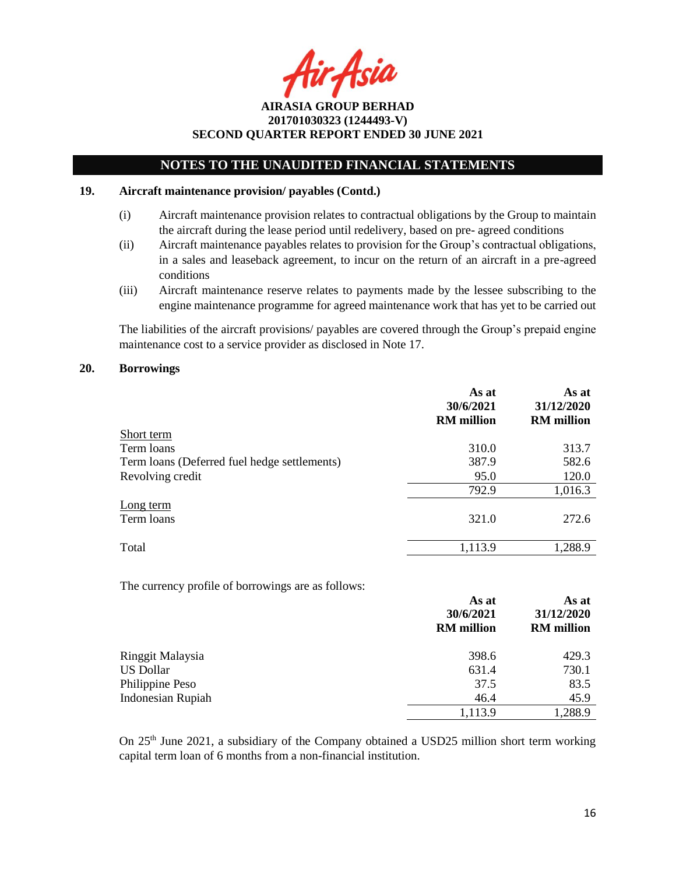Asia

## **NOTES TO THE UNAUDITED FINANCIAL STATEMENTS**

#### **19. Aircraft maintenance provision/ payables (Contd.)**

- (i) Aircraft maintenance provision relates to contractual obligations by the Group to maintain the aircraft during the lease period until redelivery, based on pre- agreed conditions
- (ii) Aircraft maintenance payables relates to provision for the Group's contractual obligations, in a sales and leaseback agreement, to incur on the return of an aircraft in a pre-agreed conditions
- (iii) Aircraft maintenance reserve relates to payments made by the lessee subscribing to the engine maintenance programme for agreed maintenance work that has yet to be carried out

The liabilities of the aircraft provisions/ payables are covered through the Group's prepaid engine maintenance cost to a service provider as disclosed in Note 17.

#### **20. Borrowings**

|                                              | As at<br>30/6/2021<br><b>RM</b> million | As at<br>31/12/2020<br><b>RM</b> million |
|----------------------------------------------|-----------------------------------------|------------------------------------------|
| Short term                                   |                                         |                                          |
| Term loans                                   | 310.0                                   | 313.7                                    |
| Term loans (Deferred fuel hedge settlements) | 387.9                                   | 582.6                                    |
| Revolving credit                             | 95.0                                    | 120.0                                    |
|                                              | 792.9                                   | 1,016.3                                  |
| Long term<br>Term loans                      | 321.0                                   | 272.6                                    |
| Total                                        | 1,113.9                                 | 1,288.9                                  |

The currency profile of borrowings are as follows:

|                          | As at<br>30/6/2021<br><b>RM</b> million | As at<br>31/12/2020<br><b>RM</b> million |
|--------------------------|-----------------------------------------|------------------------------------------|
| Ringgit Malaysia         | 398.6                                   | 429.3                                    |
| <b>US Dollar</b>         | 631.4                                   | 730.1                                    |
| Philippine Peso          | 37.5                                    | 83.5                                     |
| <b>Indonesian Rupiah</b> | 46.4                                    | 45.9                                     |
|                          | 1,113.9                                 | ,288.9                                   |

On 25<sup>th</sup> June 2021, a subsidiary of the Company obtained a USD25 million short term working capital term loan of 6 months from a non-financial institution.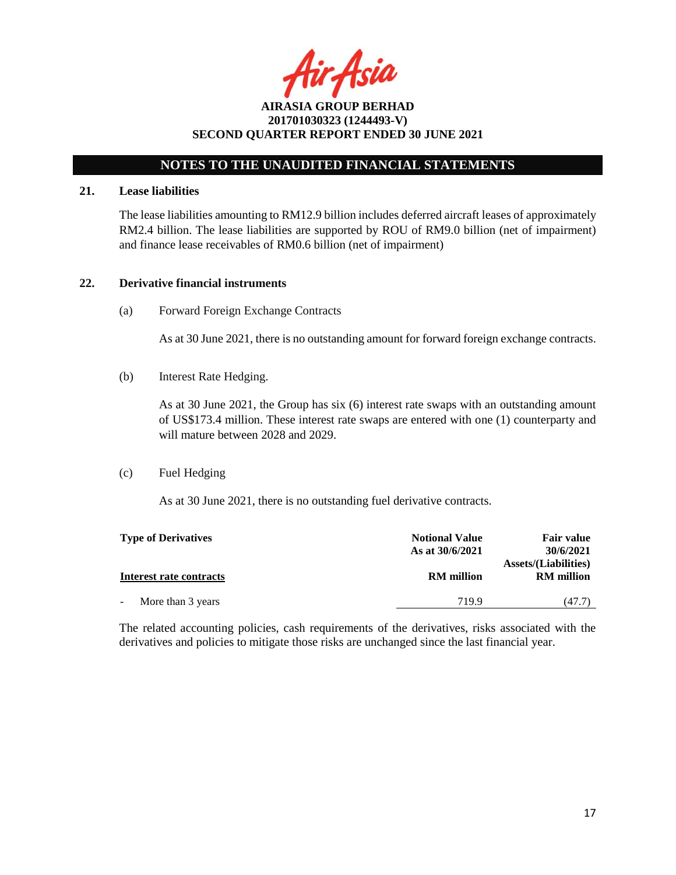r Asia

**AIRASIA GROUP BERHAD 201701030323 (1244493-V) SECOND QUARTER REPORT ENDED 30 JUNE 2021**

#### **21. Lease liabilities**

The lease liabilities amounting to RM12.9 billion includes deferred aircraft leases of approximately RM2.4 billion. The lease liabilities are supported by ROU of RM9.0 billion (net of impairment) and finance lease receivables of RM0.6 billion (net of impairment)

### **22. Derivative financial instruments**

(a) Forward Foreign Exchange Contracts

As at 30 June 2021, there is no outstanding amount for forward foreign exchange contracts.

(b) Interest Rate Hedging.

As at 30 June 2021, the Group has six (6) interest rate swaps with an outstanding amount of US\$173.4 million. These interest rate swaps are entered with one (1) counterparty and will mature between 2028 and 2029.

(c) Fuel Hedging

As at 30 June 2021, there is no outstanding fuel derivative contracts.

| <b>Type of Derivatives</b> | <b>Notional Value</b><br>As at 30/6/2021 | <b>Fair value</b><br>30/6/2021                   |
|----------------------------|------------------------------------------|--------------------------------------------------|
| Interest rate contracts    | <b>RM</b> million                        | <b>Assets/(Liabilities)</b><br><b>RM</b> million |
| More than 3 years          | 7199                                     | (47.7)                                           |

The related accounting policies, cash requirements of the derivatives, risks associated with the derivatives and policies to mitigate those risks are unchanged since the last financial year.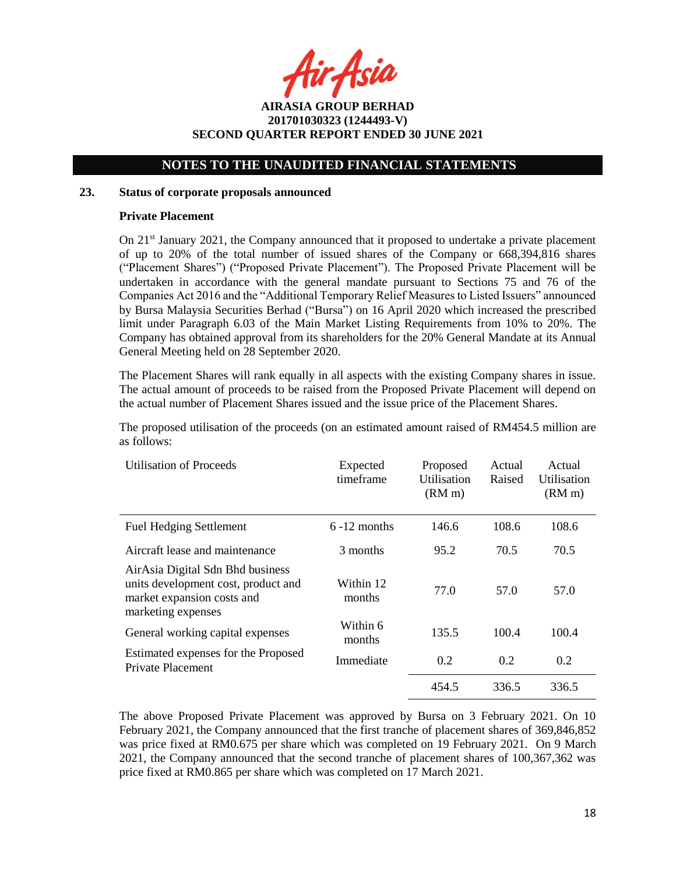r Asia

## **NOTES TO THE UNAUDITED FINANCIAL STATEMENTS**

#### **23. Status of corporate proposals announced**

### **Private Placement**

On  $21<sup>st</sup>$  January 2021, the Company announced that it proposed to undertake a private placement of up to 20% of the total number of issued shares of the Company or 668,394,816 shares ("Placement Shares") ("Proposed Private Placement"). The Proposed Private Placement will be undertaken in accordance with the general mandate pursuant to Sections 75 and 76 of the Companies Act 2016 and the "Additional Temporary Relief Measures to Listed Issuers" announced by Bursa Malaysia Securities Berhad ("Bursa") on 16 April 2020 which increased the prescribed limit under Paragraph 6.03 of the Main Market Listing Requirements from 10% to 20%. The Company has obtained approval from its shareholders for the 20% General Mandate at its Annual General Meeting held on 28 September 2020.

The Placement Shares will rank equally in all aspects with the existing Company shares in issue. The actual amount of proceeds to be raised from the Proposed Private Placement will depend on the actual number of Placement Shares issued and the issue price of the Placement Shares.

The proposed utilisation of the proceeds (on an estimated amount raised of RM454.5 million are as follows:

| <b>Utilisation of Proceeds</b>                                                                                              | Expected<br>timeframe | Proposed<br>Utilisation<br>(RM <sub>m</sub> ) | Actual<br>Raised | Actual<br>Utilisation<br>(RM <sub>m</sub> ) |
|-----------------------------------------------------------------------------------------------------------------------------|-----------------------|-----------------------------------------------|------------------|---------------------------------------------|
| <b>Fuel Hedging Settlement</b>                                                                                              | $6 - 12$ months       | 146.6                                         | 108.6            | 108.6                                       |
| Aircraft lease and maintenance                                                                                              | 3 months              | 95.2                                          | 70.5             | 70.5                                        |
| AirAsia Digital Sdn Bhd business<br>units development cost, product and<br>market expansion costs and<br>marketing expenses | Within 12<br>months   | 77.0                                          | 57.0             | 57.0                                        |
| General working capital expenses                                                                                            | Within 6<br>months    | 135.5                                         | 100.4            | 100.4                                       |
| Estimated expenses for the Proposed<br><b>Private Placement</b>                                                             | Immediate             | 0.2                                           | 0.2              | 0.2                                         |
|                                                                                                                             |                       | 454.5                                         | 336.5            | 336.5                                       |

The above Proposed Private Placement was approved by Bursa on 3 February 2021. On 10 February 2021, the Company announced that the first tranche of placement shares of 369,846,852 was price fixed at RM0.675 per share which was completed on 19 February 2021. On 9 March 2021, the Company announced that the second tranche of placement shares of 100,367,362 was price fixed at RM0.865 per share which was completed on 17 March 2021.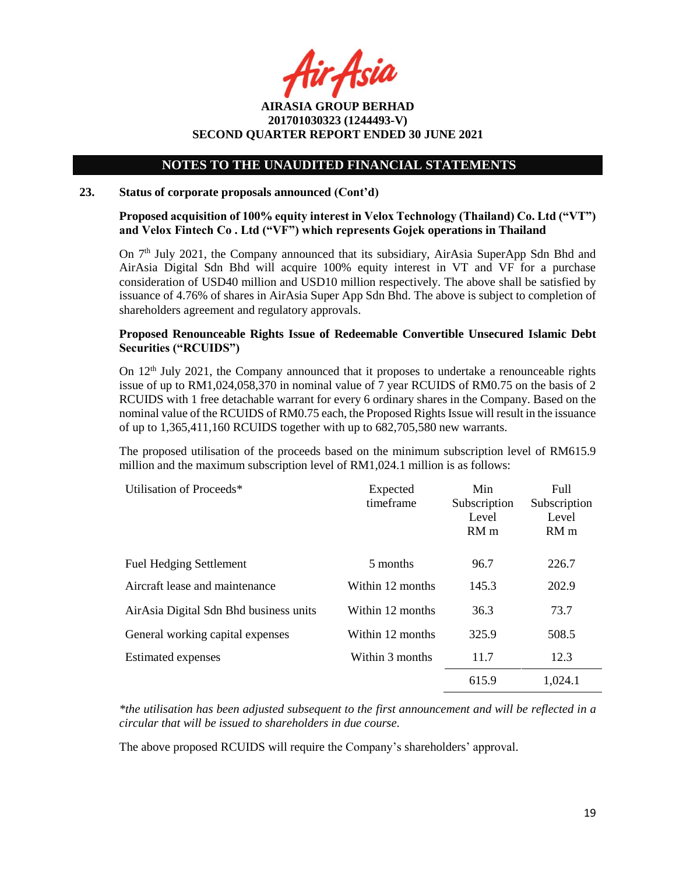r Asia

**AIRASIA GROUP BERHAD 201701030323 (1244493-V) SECOND QUARTER REPORT ENDED 30 JUNE 2021**

#### **23. Status of corporate proposals announced (Cont'd)**

### **Proposed acquisition of 100% equity interest in Velox Technology (Thailand) Co. Ltd ("VT") and Velox Fintech Co . Ltd ("VF") which represents Gojek operations in Thailand**

On  $7<sup>th</sup>$  July 2021, the Company announced that its subsidiary, AirAsia SuperApp Sdn Bhd and AirAsia Digital Sdn Bhd will acquire 100% equity interest in VT and VF for a purchase consideration of USD40 million and USD10 million respectively. The above shall be satisfied by issuance of 4.76% of shares in AirAsia Super App Sdn Bhd. The above is subject to completion of shareholders agreement and regulatory approvals.

### **Proposed Renounceable Rights Issue of Redeemable Convertible Unsecured Islamic Debt Securities ("RCUIDS")**

On  $12<sup>th</sup>$  July 2021, the Company announced that it proposes to undertake a renounceable rights issue of up to RM1,024,058,370 in nominal value of 7 year RCUIDS of RM0.75 on the basis of 2 RCUIDS with 1 free detachable warrant for every 6 ordinary shares in the Company. Based on the nominal value of the RCUIDS of RM0.75 each, the Proposed Rights Issue will result in the issuance of up to 1,365,411,160 RCUIDS together with up to 682,705,580 new warrants.

The proposed utilisation of the proceeds based on the minimum subscription level of RM615.9 million and the maximum subscription level of RM1,024.1 million is as follows:

| Utilisation of Proceeds*               | Expected<br>timeframe | Min<br>Subscription<br>Level<br>RM <sub>m</sub> | Full<br>Subscription<br>Level<br>RM <sub>m</sub> |
|----------------------------------------|-----------------------|-------------------------------------------------|--------------------------------------------------|
| <b>Fuel Hedging Settlement</b>         | 5 months              | 96.7                                            | 226.7                                            |
| Aircraft lease and maintenance         | Within 12 months      | 145.3                                           | 202.9                                            |
| AirAsia Digital Sdn Bhd business units | Within 12 months      | 36.3                                            | 73.7                                             |
| General working capital expenses       | Within 12 months      | 325.9                                           | 508.5                                            |
| Estimated expenses                     | Within 3 months       | 11.7                                            | 12.3                                             |
|                                        |                       | 615.9                                           | 1,024.1                                          |

*\*the utilisation has been adjusted subsequent to the first announcement and will be reflected in a circular that will be issued to shareholders in due course.*

The above proposed RCUIDS will require the Company's shareholders' approval.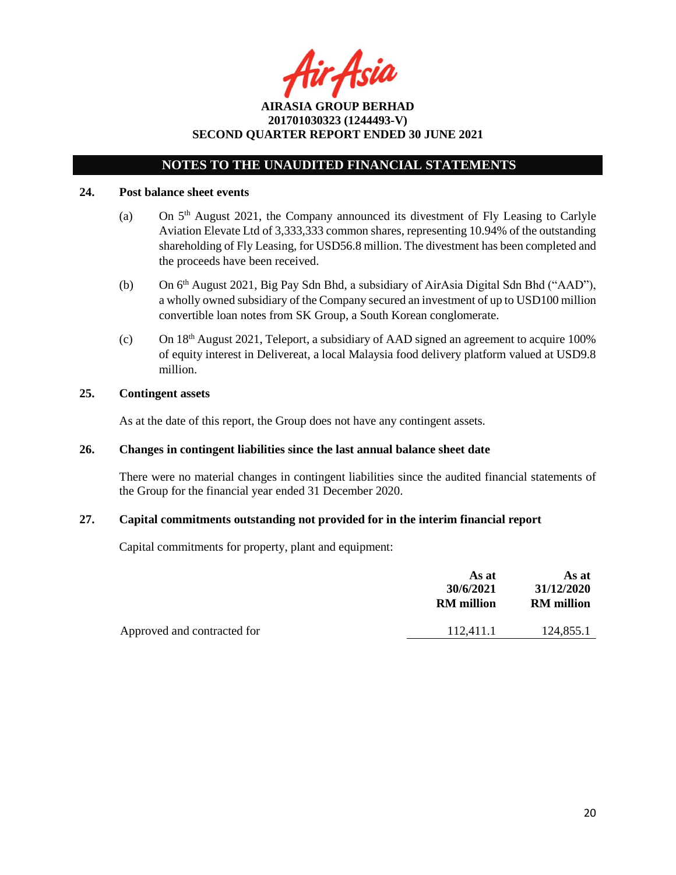ir Asia

**AIRASIA GROUP BERHAD 201701030323 (1244493-V) SECOND QUARTER REPORT ENDED 30 JUNE 2021**

#### **24. Post balance sheet events**

- (a) On  $5<sup>th</sup>$  August 2021, the Company announced its divestment of Fly Leasing to Carlyle Aviation Elevate Ltd of 3,333,333 common shares, representing 10.94% of the outstanding shareholding of Fly Leasing, for USD56.8 million. The divestment has been completed and the proceeds have been received.
- (b) On 6 th August 2021, Big Pay Sdn Bhd, a subsidiary of AirAsia Digital Sdn Bhd ("AAD"), a wholly owned subsidiary of the Company secured an investment of up to USD100 million convertible loan notes from SK Group, a South Korean conglomerate.
- (c) On  $18<sup>th</sup>$  August 2021, Teleport, a subsidiary of AAD signed an agreement to acquire 100% of equity interest in Delivereat, a local Malaysia food delivery platform valued at USD9.8 million.

### **25. Contingent assets**

As at the date of this report, the Group does not have any contingent assets.

### **26. Changes in contingent liabilities since the last annual balance sheet date**

There were no material changes in contingent liabilities since the audited financial statements of the Group for the financial year ended 31 December 2020.

### **27. Capital commitments outstanding not provided for in the interim financial report**

Capital commitments for property, plant and equipment:

|                             | As at<br>30/6/2021<br><b>RM</b> million | As at<br>31/12/2020<br><b>RM</b> million |
|-----------------------------|-----------------------------------------|------------------------------------------|
| Approved and contracted for | 112.411.1                               | 124.855.1                                |
|                             |                                         |                                          |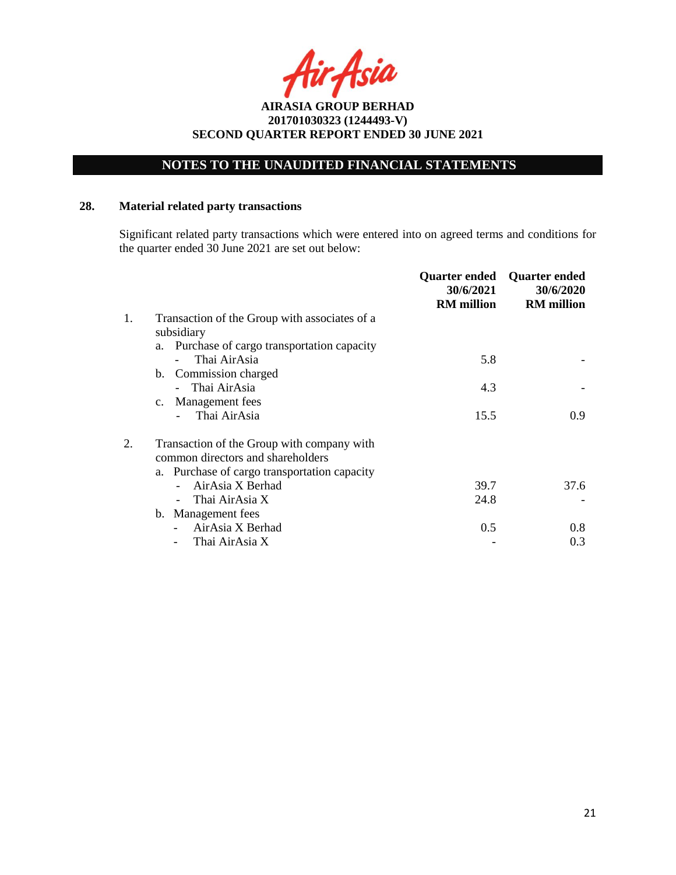# **NOTES TO THE UNAUDITED FINANCIAL STATEMENTS**

## **28. Material related party transactions**

Significant related party transactions which were entered into on agreed terms and conditions for the quarter ended 30 June 2021 are set out below:

|    |                                                 | Quarter ended<br>30/6/2021<br><b>RM</b> million | <b>Quarter ended</b><br>30/6/2020<br><b>RM</b> million |
|----|-------------------------------------------------|-------------------------------------------------|--------------------------------------------------------|
| 1. | Transaction of the Group with associates of a   |                                                 |                                                        |
|    | subsidiary                                      |                                                 |                                                        |
|    | Purchase of cargo transportation capacity<br>a. |                                                 |                                                        |
|    | Thai AirAsia                                    | 5.8                                             |                                                        |
|    | b. Commission charged                           |                                                 |                                                        |
|    | - Thai AirAsia                                  | 4.3                                             |                                                        |
|    | Management fees<br>$c_{\cdot}$                  |                                                 |                                                        |
|    | Thai AirAsia                                    | 15.5                                            | 0.9                                                    |
|    | Transaction of the Group with company with      |                                                 |                                                        |
|    | common directors and shareholders               |                                                 |                                                        |
|    | a. Purchase of cargo transportation capacity    |                                                 |                                                        |
|    | AirAsia X Berhad                                | 39.7                                            | 37.6                                                   |
|    | Thai AirAsia X                                  | 24.8                                            |                                                        |
|    | b. Management fees                              |                                                 |                                                        |
|    | AirAsia X Berhad                                | 0.5                                             | 0.8                                                    |
|    | Thai AirAsia X                                  |                                                 | 0.3                                                    |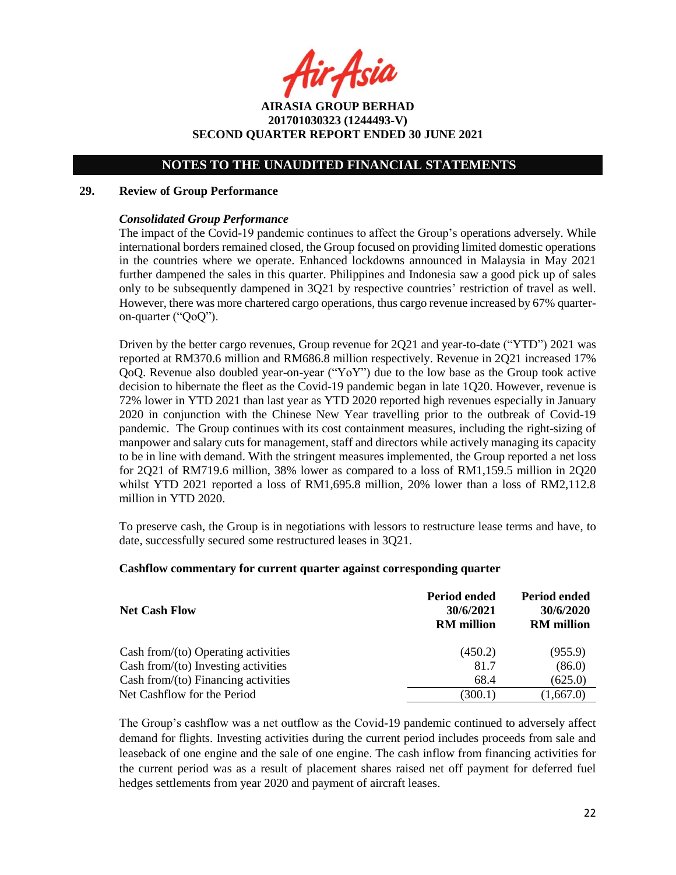ir Asia

**AIRASIA GROUP BERHAD 201701030323 (1244493-V) SECOND QUARTER REPORT ENDED 30 JUNE 2021**

#### **29. Review of Group Performance**

### *Consolidated Group Performance*

The impact of the Covid-19 pandemic continues to affect the Group's operations adversely. While international borders remained closed, the Group focused on providing limited domestic operations in the countries where we operate. Enhanced lockdowns announced in Malaysia in May 2021 further dampened the sales in this quarter. Philippines and Indonesia saw a good pick up of sales only to be subsequently dampened in 3Q21 by respective countries' restriction of travel as well. However, there was more chartered cargo operations, thus cargo revenue increased by 67% quarteron-quarter ("QoQ").

Driven by the better cargo revenues, Group revenue for 2Q21 and year-to-date ("YTD") 2021 was reported at RM370.6 million and RM686.8 million respectively. Revenue in 2Q21 increased 17% QoQ. Revenue also doubled year-on-year ("YoY") due to the low base as the Group took active decision to hibernate the fleet as the Covid-19 pandemic began in late 1Q20. However, revenue is 72% lower in YTD 2021 than last year as YTD 2020 reported high revenues especially in January 2020 in conjunction with the Chinese New Year travelling prior to the outbreak of Covid-19 pandemic. The Group continues with its cost containment measures, including the right-sizing of manpower and salary cuts for management, staff and directors while actively managing its capacity to be in line with demand. With the stringent measures implemented, the Group reported a net loss for 2Q21 of RM719.6 million, 38% lower as compared to a loss of RM1,159.5 million in 2Q20 whilst YTD 2021 reported a loss of RM1,695.8 million, 20% lower than a loss of RM2,112.8 million in YTD 2020.

To preserve cash, the Group is in negotiations with lessors to restructure lease terms and have, to date, successfully secured some restructured leases in 3Q21.

#### **Cashflow commentary for current quarter against corresponding quarter**

| <b>Net Cash Flow</b>                   | <b>Period ended</b><br>30/6/2021<br><b>RM</b> million | <b>Period ended</b><br>30/6/2020<br><b>RM</b> million |
|----------------------------------------|-------------------------------------------------------|-------------------------------------------------------|
| Cash from/ $(to)$ Operating activities | (450.2)                                               | (955.9)                                               |
| Cash from/(to) Investing activities    | 81.7                                                  | (86.0)                                                |
| Cash from/(to) Financing activities    | 68.4                                                  | (625.0)                                               |
| Net Cashflow for the Period            | (300.1)                                               | (1,667.0)                                             |

The Group's cashflow was a net outflow as the Covid-19 pandemic continued to adversely affect demand for flights. Investing activities during the current period includes proceeds from sale and leaseback of one engine and the sale of one engine. The cash inflow from financing activities for the current period was as a result of placement shares raised net off payment for deferred fuel hedges settlements from year 2020 and payment of aircraft leases.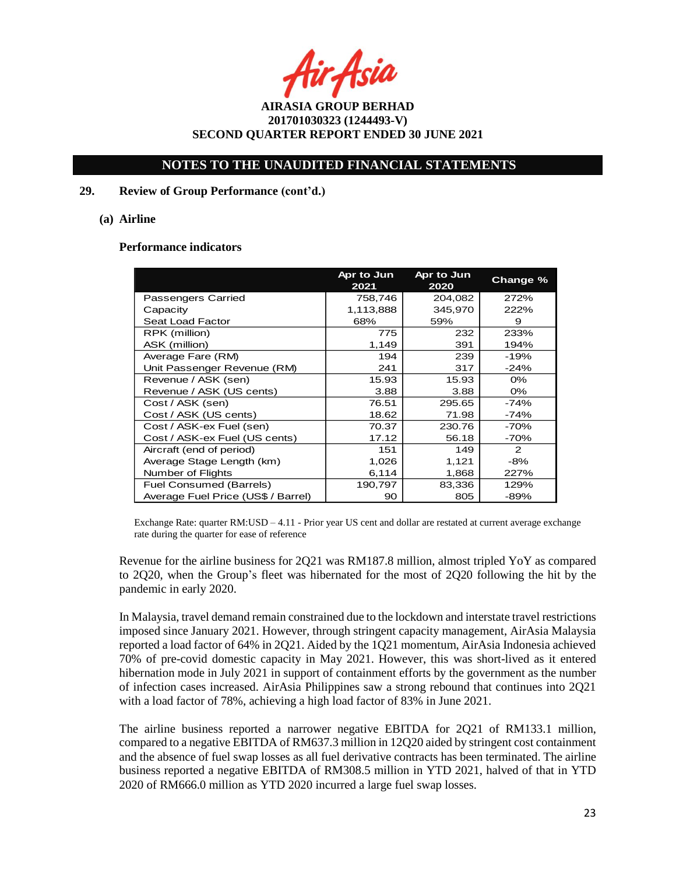ir Asia

## **NOTES TO THE UNAUDITED FINANCIAL STATEMENTS**

### **29. Review of Group Performance (cont'd.)**

#### **(a) Airline**

#### **Performance indicators**

|                                    | Apr to Jun<br>2021 | Apr to Jun<br>2020 | Change % |
|------------------------------------|--------------------|--------------------|----------|
| Passengers Carried                 | 758,746            | 204,082            | 272%     |
| Capacity                           | 1,113,888          | 345.970            | 222%     |
| Seat Load Factor                   | 68%                | 59%                | 9        |
| RPK (million)                      | 775                | 232                | 233%     |
| ASK (million)                      | 1,149              | 391                | 194%     |
| Average Fare (RM)                  | 194                | 239                | -19%     |
| Unit Passenger Revenue (RM)        | 241                | 317                | $-24%$   |
| Revenue / ASK (sen)                | 15.93              | 15.93              | $0\%$    |
| Revenue / ASK (US cents)           | 3.88               | 3.88               | 0%       |
| Cost / ASK (sen)                   | 76.51              | 295.65             | -74%     |
| Cost / ASK (US cents)              | 18.62              | 71.98              | -74%     |
| Cost / ASK-ex Fuel (sen)           | 70.37              | 230.76             | $-70%$   |
| Cost / ASK-ex Fuel (US cents)      | 17.12              | 56.18              | $-70%$   |
| Aircraft (end of period)           | 151                | 149                | 2        |
| Average Stage Length (km)          | 1,026              | 1,121              | $-8%$    |
| Number of Flights                  | 6,114              | 1,868              | 227%     |
| Fuel Consumed (Barrels)            | 190,797            | 83,336             | 129%     |
| Average Fuel Price (US\$ / Barrel) | 90                 | 805                | -89%     |

Exchange Rate: quarter RM:USD – 4.11 - Prior year US cent and dollar are restated at current average exchange rate during the quarter for ease of reference

Revenue for the airline business for 2Q21 was RM187.8 million, almost tripled YoY as compared to 2Q20, when the Group's fleet was hibernated for the most of 2Q20 following the hit by the pandemic in early 2020.

In Malaysia, travel demand remain constrained due to the lockdown and interstate travel restrictions imposed since January 2021. However, through stringent capacity management, AirAsia Malaysia reported a load factor of 64% in 2Q21. Aided by the 1Q21 momentum, AirAsia Indonesia achieved 70% of pre-covid domestic capacity in May 2021. However, this was short-lived as it entered hibernation mode in July 2021 in support of containment efforts by the government as the number of infection cases increased. AirAsia Philippines saw a strong rebound that continues into 2Q21 with a load factor of 78%, achieving a high load factor of 83% in June 2021.

The airline business reported a narrower negative EBITDA for 2Q21 of RM133.1 million, compared to a negative EBITDA of RM637.3 million in 12Q20 aided by stringent cost containment and the absence of fuel swap losses as all fuel derivative contracts has been terminated. The airline business reported a negative EBITDA of RM308.5 million in YTD 2021, halved of that in YTD 2020 of RM666.0 million as YTD 2020 incurred a large fuel swap losses.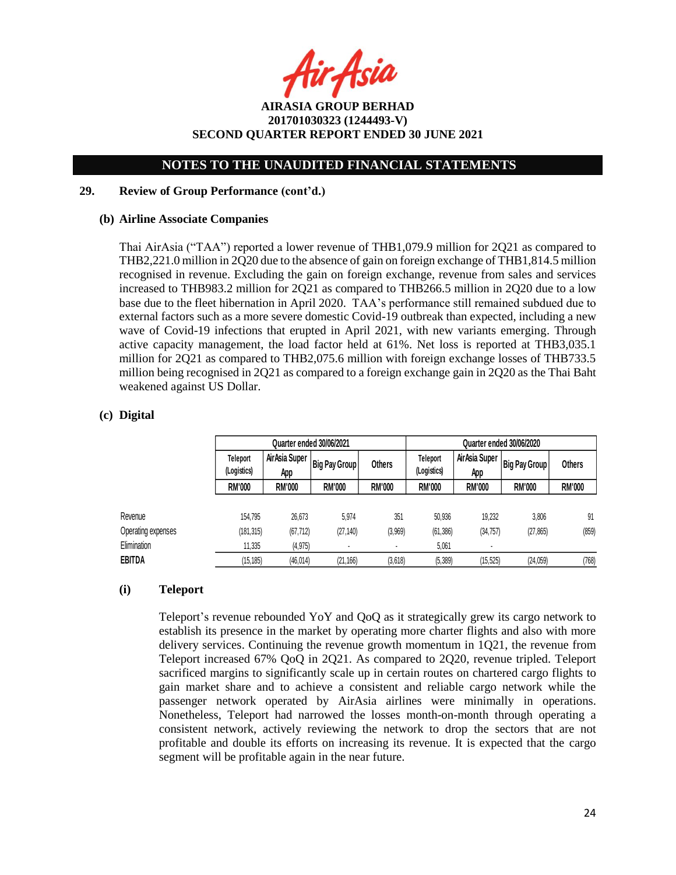fir Asia

**AIRASIA GROUP BERHAD 201701030323 (1244493-V) SECOND QUARTER REPORT ENDED 30 JUNE 2021**

### **29. Review of Group Performance (cont'd.)**

#### **(b) Airline Associate Companies**

Thai AirAsia ("TAA") reported a lower revenue of THB1,079.9 million for 2Q21 as compared to THB2,221.0 million in 2Q20 due to the absence of gain on foreign exchange of THB1,814.5 million recognised in revenue. Excluding the gain on foreign exchange, revenue from sales and services increased to THB983.2 million for 2Q21 as compared to THB266.5 million in 2Q20 due to a low base due to the fleet hibernation in April 2020. TAA's performance still remained subdued due to external factors such as a more severe domestic Covid-19 outbreak than expected, including a new wave of Covid-19 infections that erupted in April 2021, with new variants emerging. Through active capacity management, the load factor held at 61%. Net loss is reported at THB3,035.1 million for 2Q21 as compared to THB2,075.6 million with foreign exchange losses of THB733.5 million being recognised in 2Q21 as compared to a foreign exchange gain in 2Q20 as the Thai Baht weakened against US Dollar.

### **(c) Digital**

|                    | Quarter ended 30/06/2021 |                      |                          |               | Quarter ended 30/06/2020       |                      |                      |               |
|--------------------|--------------------------|----------------------|--------------------------|---------------|--------------------------------|----------------------|----------------------|---------------|
|                    | Teleport<br>(Logistics)  | AirAsia Super<br>App | <b>Big Pay Group I</b>   | <b>Others</b> | <b>Teleport</b><br>(Logistics) | AirAsia Super<br>App | <b>Big Pay Group</b> | Others        |
|                    | <b>RM'000</b>            | <b>RM'000</b>        | <b>RM'000</b>            | <b>RM'000</b> | <b>RM'000</b>                  | <b>RM'000</b>        | <b>RM'000</b>        | <b>RM'000</b> |
| Revenue            | 154.795                  | 26.673               | 5.974                    | 351           | 50,936                         | 19.232               | 3,806                | 91            |
| Operating expenses | (181, 315)               | (67, 712)            | (27, 140)                | (3,969)       | (61, 386)                      | (34, 757)            | (27, 865)            | (859)         |
| Elimination        | 11,335                   | (4, 975)             | $\overline{\phantom{a}}$ |               | 5,061                          | ٠                    |                      |               |
| <b>EBITDA</b>      | (15, 185)                | (46, 014)            | (21, 166)                | (3,618)       | (5, 389)                       | (15, 525)            | (24, 059)            | (768)         |

### **(i) Teleport**

Teleport's revenue rebounded YoY and QoQ as it strategically grew its cargo network to establish its presence in the market by operating more charter flights and also with more delivery services. Continuing the revenue growth momentum in 1Q21, the revenue from Teleport increased 67% QoQ in 2Q21. As compared to 2Q20, revenue tripled. Teleport sacrificed margins to significantly scale up in certain routes on chartered cargo flights to gain market share and to achieve a consistent and reliable cargo network while the passenger network operated by AirAsia airlines were minimally in operations. Nonetheless, Teleport had narrowed the losses month-on-month through operating a consistent network, actively reviewing the network to drop the sectors that are not profitable and double its efforts on increasing its revenue. It is expected that the cargo segment will be profitable again in the near future.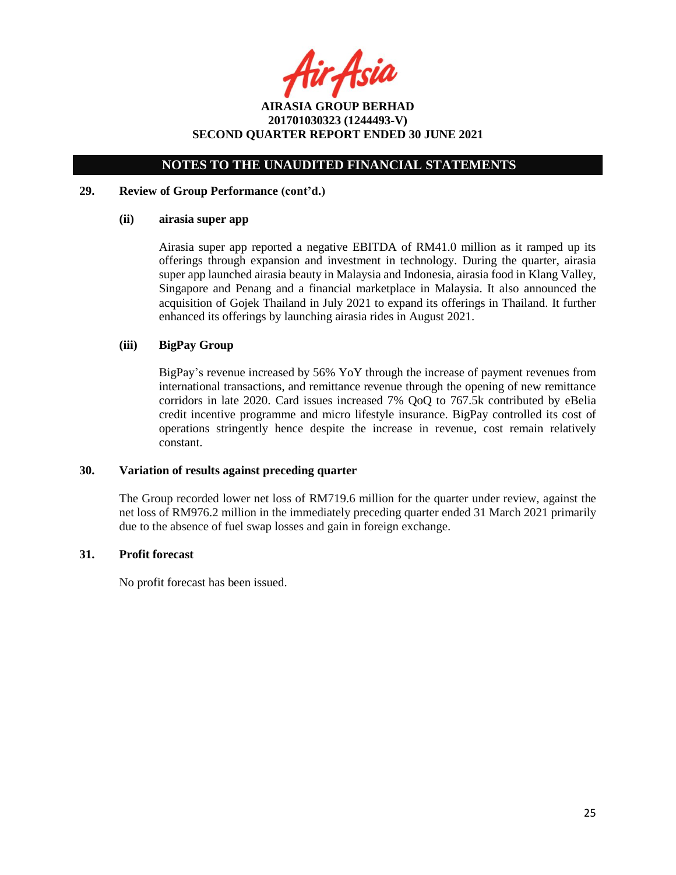tir Asia

**AIRASIA GROUP BERHAD 201701030323 (1244493-V) SECOND QUARTER REPORT ENDED 30 JUNE 2021**

#### **29. Review of Group Performance (cont'd.)**

### **(ii) airasia super app**

Airasia super app reported a negative EBITDA of RM41.0 million as it ramped up its offerings through expansion and investment in technology. During the quarter, airasia super app launched airasia beauty in Malaysia and Indonesia, airasia food in Klang Valley, Singapore and Penang and a financial marketplace in Malaysia. It also announced the acquisition of Gojek Thailand in July 2021 to expand its offerings in Thailand. It further enhanced its offerings by launching airasia rides in August 2021.

### **(iii) BigPay Group**

BigPay's revenue increased by 56% YoY through the increase of payment revenues from international transactions, and remittance revenue through the opening of new remittance corridors in late 2020. Card issues increased 7% QoQ to 767.5k contributed by eBelia credit incentive programme and micro lifestyle insurance. BigPay controlled its cost of operations stringently hence despite the increase in revenue, cost remain relatively constant.

### **30. Variation of results against preceding quarter**

The Group recorded lower net loss of RM719.6 million for the quarter under review, against the net loss of RM976.2 million in the immediately preceding quarter ended 31 March 2021 primarily due to the absence of fuel swap losses and gain in foreign exchange.

### **31. Profit forecast**

No profit forecast has been issued.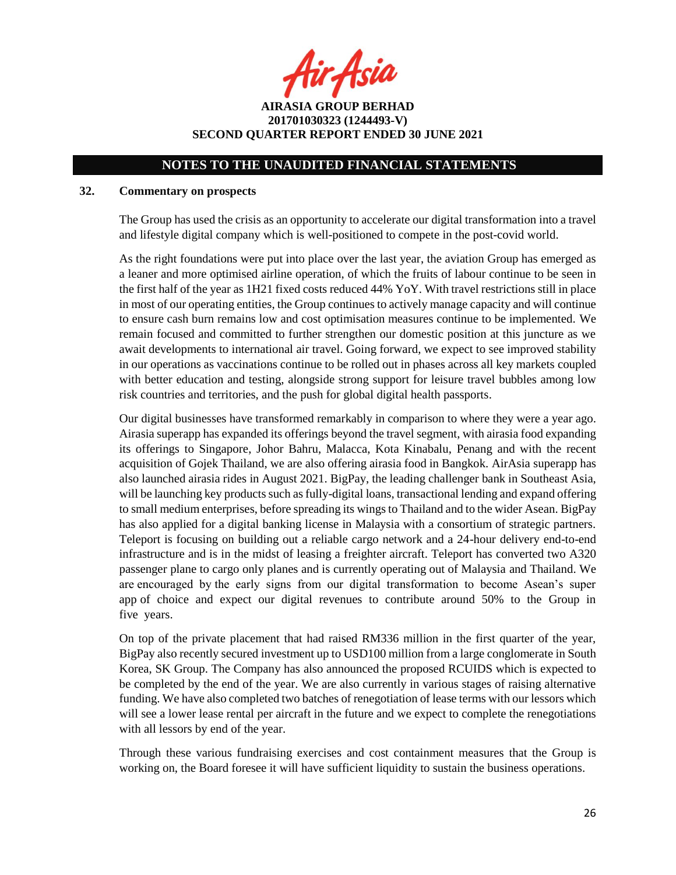fir Asia

**AIRASIA GROUP BERHAD 201701030323 (1244493-V) SECOND QUARTER REPORT ENDED 30 JUNE 2021**

### **32. Commentary on prospects**

The Group has used the crisis as an opportunity to accelerate our digital transformation into a travel and lifestyle digital company which is well-positioned to compete in the post-covid world.

As the right foundations were put into place over the last year, the aviation Group has emerged as a leaner and more optimised airline operation, of which the fruits of labour continue to be seen in the first half of the year as 1H21 fixed costs reduced 44% YoY. With travel restrictions still in place in most of our operating entities, the Group continues to actively manage capacity and will continue to ensure cash burn remains low and cost optimisation measures continue to be implemented. We remain focused and committed to further strengthen our domestic position at this juncture as we await developments to international air travel. Going forward, we expect to see improved stability in our operations as vaccinations continue to be rolled out in phases across all key markets coupled with better education and testing, alongside strong support for leisure travel bubbles among low risk countries and territories, and the push for global digital health passports.

Our digital businesses have transformed remarkably in comparison to where they were a year ago. Airasia superapp has expanded its offerings beyond the travel segment, with airasia food expanding its offerings to Singapore, Johor Bahru, Malacca, Kota Kinabalu, Penang and with the recent acquisition of Gojek Thailand, we are also offering airasia food in Bangkok. AirAsia superapp has also launched airasia rides in August 2021. BigPay, the leading challenger bank in Southeast Asia, will be launching key products such as fully-digital loans, transactional lending and expand offering to small medium enterprises, before spreading its wings to Thailand and to the wider Asean. BigPay has also applied for a digital banking license in Malaysia with a consortium of strategic partners. Teleport is focusing on building out a reliable cargo network and a 24-hour delivery end-to-end infrastructure and is in the midst of leasing a freighter aircraft. Teleport has converted two A320 passenger plane to cargo only planes and is currently operating out of Malaysia and Thailand. We are encouraged by the early signs from our digital transformation to become Asean's super app of choice and expect our digital revenues to contribute around 50% to the Group in five years.

On top of the private placement that had raised RM336 million in the first quarter of the year, BigPay also recently secured investment up to USD100 million from a large conglomerate in South Korea, SK Group. The Company has also announced the proposed RCUIDS which is expected to be completed by the end of the year. We are also currently in various stages of raising alternative funding. We have also completed two batches of renegotiation of lease terms with our lessors which will see a lower lease rental per aircraft in the future and we expect to complete the renegotiations with all lessors by end of the year.

Through these various fundraising exercises and cost containment measures that the Group is working on, the Board foresee it will have sufficient liquidity to sustain the business operations.